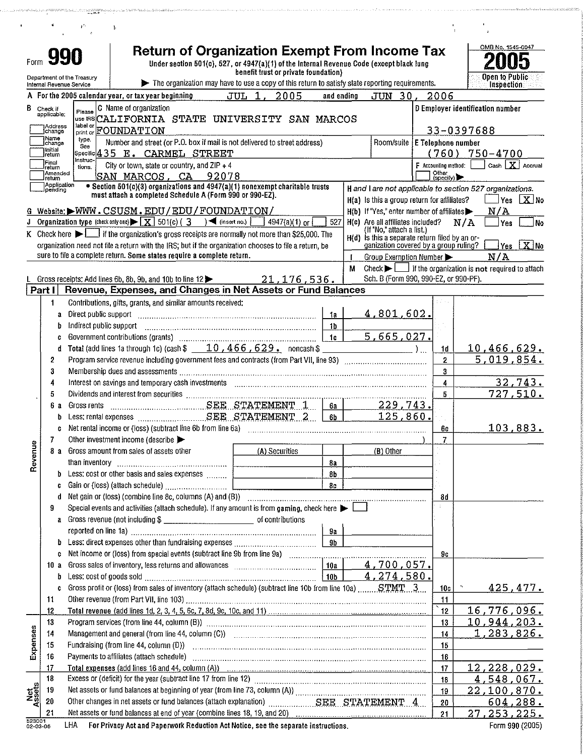|               |                          |                          |                            |                                                                                                                                                                                                                                | <b>Return of Organization Exempt From Income Tax</b><br>Under section 501(c), 527, or 4947(a)(1) of the Internal Revenue Code (except black lung |                     |  |                                      |                |   |                                                                                           |                        |            | OMB No. 1545-0047                                                                |                                           |
|---------------|--------------------------|--------------------------|----------------------------|--------------------------------------------------------------------------------------------------------------------------------------------------------------------------------------------------------------------------------|--------------------------------------------------------------------------------------------------------------------------------------------------|---------------------|--|--------------------------------------|----------------|---|-------------------------------------------------------------------------------------------|------------------------|------------|----------------------------------------------------------------------------------|-------------------------------------------|
|               |                          |                          | Department of the Treasury |                                                                                                                                                                                                                                |                                                                                                                                                  |                     |  | benefit trust or private foundation) |                |   |                                                                                           |                        |            | Open to Public                                                                   |                                           |
|               |                          | Internal Revenue Service |                            |                                                                                                                                                                                                                                | The organization may have to use a copy of this return to satisfy state reporting requirements.                                                  |                     |  |                                      |                |   |                                                                                           |                        |            | <b>Inspection</b>                                                                |                                           |
|               |                          |                          |                            | A For the 2005 calendar year, or tax year beginning                                                                                                                                                                            |                                                                                                                                                  |                     |  | JUL 1, 2005                          | and ending     |   | JUN 30,                                                                                   | 2006                   |            |                                                                                  |                                           |
| В             | Check if<br>applicable;  |                          | Please                     | C Name of organization                                                                                                                                                                                                         |                                                                                                                                                  |                     |  |                                      |                |   |                                                                                           |                        |            | D Employer identification number                                                 |                                           |
|               | Address                  |                          | label or                   | use FRSCALIFORNIA STATE UNIVERSITY SAN MARCOS                                                                                                                                                                                  |                                                                                                                                                  |                     |  |                                      |                |   |                                                                                           |                        |            |                                                                                  |                                           |
|               | change<br>Name           |                          | print or                   | FOUNDATION                                                                                                                                                                                                                     |                                                                                                                                                  |                     |  |                                      |                |   |                                                                                           |                        | 33-0397688 |                                                                                  |                                           |
|               | change<br>Initial        |                          | type.<br>See               | Number and street (or P.O. box if mail is not delivered to street address)                                                                                                                                                     |                                                                                                                                                  |                     |  |                                      |                |   | Room/suite E Telephone number                                                             |                        |            |                                                                                  |                                           |
|               | retum<br>Final           |                          | Instruc-                   | Specific 435 E. CARMEL STREET                                                                                                                                                                                                  |                                                                                                                                                  |                     |  |                                      |                |   |                                                                                           |                        |            | (760) 750-4700                                                                   |                                           |
|               | Ireturn<br>Amended       |                          | tions.                     | City or town, state or country, and ZIP + 4                                                                                                                                                                                    |                                                                                                                                                  |                     |  |                                      |                |   |                                                                                           | $F$ Accounting method: |            |                                                                                  | Cash $X$ Accrual                          |
|               | return                   | Application              |                            | SAN MARCOS, CA<br>• Section 501(c)(3) organizations and 4947(a)(1) nonexempt charitable trusts                                                                                                                                 |                                                                                                                                                  | 92078               |  |                                      |                |   |                                                                                           | Other<br>(specify)     |            |                                                                                  |                                           |
|               | pending                  |                          |                            | must attach a completed Schedule A (Form 990 or 990-EZ).                                                                                                                                                                       |                                                                                                                                                  |                     |  |                                      |                |   |                                                                                           |                        |            | H and I are not applicable to section 527 organizations.                         |                                           |
|               |                          |                          |                            | G Website: WWW.CSUSM.EDU/EDU/FOUNDATION/                                                                                                                                                                                       |                                                                                                                                                  |                     |  |                                      |                |   | H(a) Is this a group return for affiliates?                                               |                        |            |                                                                                  | Yes X No                                  |
|               |                          |                          |                            | Organization type (check only one) $\blacktriangleright \boxed{\mathbf{X}}$ 501(c) (3                                                                                                                                          |                                                                                                                                                  | $\sum$ (insert no.) |  | 4947(a)(1) or                        | 527            |   | $H(b)$ If "Yes," enter number of affiliates<br>H(c) Are all affiliates included?          |                        | N/A        | N/A<br>Yes                                                                       |                                           |
|               |                          |                          |                            | K Check here $\blacktriangleright$ $\lfloor \cdot \rfloor$ if the organization's gross receipts are normally not more than \$25,000. The                                                                                       |                                                                                                                                                  |                     |  |                                      |                |   | (If "No," attach a list.)                                                                 |                        |            |                                                                                  | No                                        |
|               |                          |                          |                            | organization need not file a return with the IRS; but if the organization chooses to file a return, be                                                                                                                         |                                                                                                                                                  |                     |  |                                      |                |   | $H(d)$ is this a separate return filed by an or-<br>ganization covered by a group ruling? |                        |            |                                                                                  | $\sqrt{\text{Yes}}$ $\boxed{\text{X}}$ No |
|               |                          |                          |                            | sure to file a complete return. Some states require a complete return.                                                                                                                                                         |                                                                                                                                                  |                     |  |                                      |                |   | Group Exemption Number                                                                    |                        |            | N/A                                                                              |                                           |
|               |                          |                          |                            |                                                                                                                                                                                                                                |                                                                                                                                                  |                     |  |                                      |                | м |                                                                                           |                        |            | Check $\blacktriangleright$ $\Box$ if the organization is not required to attach |                                           |
|               |                          |                          |                            | Gross receipts: Add lines 6b, 8b, 9b, and 10b to line 12                                                                                                                                                                       |                                                                                                                                                  |                     |  | 21, 176, 536.                        |                |   | Sch. B (Form 990, 990-EZ, or 990-PF).                                                     |                        |            |                                                                                  |                                           |
|               | Part I                   |                          |                            | Revenue, Expenses, and Changes in Net Assets or Fund Balances                                                                                                                                                                  |                                                                                                                                                  |                     |  |                                      |                |   |                                                                                           |                        |            |                                                                                  |                                           |
|               | 1.                       |                          |                            | Contributions, gifts, grants, and similar amounts received:                                                                                                                                                                    |                                                                                                                                                  |                     |  |                                      |                |   |                                                                                           |                        |            |                                                                                  |                                           |
|               |                          | a                        | Direct public support      |                                                                                                                                                                                                                                |                                                                                                                                                  |                     |  |                                      | 1a             |   | 4,801,602.                                                                                |                        |            |                                                                                  |                                           |
|               |                          | Þ                        | Indirect public support    |                                                                                                                                                                                                                                |                                                                                                                                                  |                     |  |                                      | <b>1b</b>      |   |                                                                                           |                        |            |                                                                                  |                                           |
|               |                          | C                        |                            |                                                                                                                                                                                                                                |                                                                                                                                                  |                     |  |                                      | 1c             |   | 5,665,027.                                                                                |                        |            |                                                                                  |                                           |
|               |                          | đ                        |                            | Total (add lines 1a through 1c) (cash $$10,466,629$ noncash \$                                                                                                                                                                 |                                                                                                                                                  |                     |  |                                      |                |   | $\frac{1}{2}$                                                                             | 1d                     |            | 10,466,629.                                                                      |                                           |
|               | $\overline{2}$           |                          |                            |                                                                                                                                                                                                                                |                                                                                                                                                  |                     |  |                                      |                |   |                                                                                           | $\overline{2}$         |            | 5,019,854.                                                                       |                                           |
|               | 3                        |                          |                            |                                                                                                                                                                                                                                |                                                                                                                                                  |                     |  |                                      |                |   |                                                                                           | 3                      |            |                                                                                  |                                           |
|               | 4                        |                          |                            |                                                                                                                                                                                                                                |                                                                                                                                                  |                     |  |                                      |                |   |                                                                                           | 4                      |            |                                                                                  | 32,743.                                   |
|               | 5                        |                          |                            |                                                                                                                                                                                                                                |                                                                                                                                                  |                     |  |                                      |                |   |                                                                                           | 5                      |            |                                                                                  | 727.510.                                  |
|               | 6а                       |                          |                            |                                                                                                                                                                                                                                |                                                                                                                                                  |                     |  |                                      | 6a             |   | 229,743.                                                                                  |                        |            |                                                                                  |                                           |
|               |                          | b                        |                            |                                                                                                                                                                                                                                |                                                                                                                                                  |                     |  |                                      | 6b             |   | 125,860.                                                                                  |                        |            |                                                                                  |                                           |
|               |                          | C                        |                            | Net rental income or (loss) (subtract line 6b from line 6a)                                                                                                                                                                    |                                                                                                                                                  |                     |  |                                      |                |   |                                                                                           | 60                     |            |                                                                                  | 103,883.                                  |
| ω             | 7                        |                          |                            | Other investment income (describe                                                                                                                                                                                              |                                                                                                                                                  |                     |  |                                      |                |   |                                                                                           | $\overline{7}$         |            |                                                                                  |                                           |
| Revenu        |                          |                          |                            | 8 a Gross amount from sales of assets other                                                                                                                                                                                    |                                                                                                                                                  |                     |  | (A) Securities                       |                |   | $(B)$ Other                                                                               |                        |            |                                                                                  |                                           |
|               |                          |                          |                            |                                                                                                                                                                                                                                |                                                                                                                                                  |                     |  |                                      | 8a             |   |                                                                                           |                        |            |                                                                                  |                                           |
|               |                          | b                        |                            | Less: cost or other basis and sales expenses                                                                                                                                                                                   |                                                                                                                                                  |                     |  |                                      | 8b             |   |                                                                                           |                        |            |                                                                                  |                                           |
|               |                          | C                        |                            |                                                                                                                                                                                                                                |                                                                                                                                                  |                     |  |                                      | 8c             |   |                                                                                           |                        |            |                                                                                  |                                           |
|               |                          | đ                        |                            |                                                                                                                                                                                                                                |                                                                                                                                                  |                     |  |                                      |                |   |                                                                                           | 8d                     |            |                                                                                  |                                           |
|               | 9                        |                          |                            | Special events and activities (attach schedule). If any amount is from gaming, check here $\blacktriangleright$                                                                                                                |                                                                                                                                                  |                     |  |                                      |                |   |                                                                                           |                        |            |                                                                                  |                                           |
|               |                          | a                        |                            |                                                                                                                                                                                                                                |                                                                                                                                                  |                     |  |                                      |                |   |                                                                                           |                        |            |                                                                                  |                                           |
|               |                          |                          |                            |                                                                                                                                                                                                                                |                                                                                                                                                  |                     |  |                                      | 9a             |   |                                                                                           |                        |            |                                                                                  |                                           |
|               |                          | b                        |                            |                                                                                                                                                                                                                                |                                                                                                                                                  |                     |  |                                      | 9 <sub>b</sub> |   |                                                                                           |                        |            |                                                                                  |                                           |
|               |                          | c                        |                            |                                                                                                                                                                                                                                |                                                                                                                                                  |                     |  |                                      |                |   |                                                                                           | 90                     |            |                                                                                  |                                           |
|               | 10 a                     |                          |                            |                                                                                                                                                                                                                                |                                                                                                                                                  |                     |  |                                      | 10a            |   | 4,700,057.                                                                                |                        |            |                                                                                  |                                           |
|               |                          | b                        |                            |                                                                                                                                                                                                                                |                                                                                                                                                  |                     |  |                                      |                |   | 4, 274, 580.                                                                              |                        |            |                                                                                  |                                           |
|               |                          | ¢                        |                            | Gross profit or (loss) from sales of inventory (attach schedule) (subtract line 10b from line 10a)  STMT3                                                                                                                      |                                                                                                                                                  |                     |  |                                      |                |   |                                                                                           | 10c                    | $\gamma$   |                                                                                  | <u>425,477.</u>                           |
|               | 11                       |                          |                            |                                                                                                                                                                                                                                |                                                                                                                                                  |                     |  |                                      |                |   |                                                                                           | 11                     |            |                                                                                  |                                           |
|               | 12                       |                          |                            |                                                                                                                                                                                                                                |                                                                                                                                                  |                     |  |                                      |                |   |                                                                                           | 12                     |            | 16,776,096.                                                                      |                                           |
|               | 13                       |                          |                            | Program services (from line 44, column (B)) manufactured contains and contained and contained and contained an                                                                                                                 |                                                                                                                                                  |                     |  |                                      |                |   |                                                                                           | 13                     |            | <u>10,944,203.</u>                                                               |                                           |
| Expenses      | 14                       |                          |                            | Management and general (from line 44, column (C)) [2010] [2010] [2010] [2010] [2010] [2010] [2010] [2010] [2010] [2010] [2010] [2010] [2010] [2010] [2010] [2010] [2010] [2010] [2010] [2010] [2010] [2010] [2010] [2010] [201 |                                                                                                                                                  |                     |  |                                      |                |   |                                                                                           | 14                     |            | 1,283,826.                                                                       |                                           |
|               | 15                       |                          |                            |                                                                                                                                                                                                                                |                                                                                                                                                  |                     |  |                                      |                |   |                                                                                           | 15                     |            |                                                                                  |                                           |
|               | 16                       |                          |                            | Payments to affiliates (attach schedule) (attach and according continuum attached and according continuum attached and according to affiliates (attached schedule)                                                             |                                                                                                                                                  |                     |  |                                      |                |   |                                                                                           | 16                     |            |                                                                                  |                                           |
|               | 17                       |                          |                            | Total expenses (add lines 16 and 44, column (A)) contained and according to the expenses (add lines 16 and 44, column (A))                                                                                                     |                                                                                                                                                  |                     |  |                                      |                |   |                                                                                           | 17                     |            | 12,228,029.                                                                      |                                           |
|               | 18                       |                          |                            |                                                                                                                                                                                                                                |                                                                                                                                                  |                     |  |                                      |                |   |                                                                                           | 18                     |            | 4,548,067.                                                                       |                                           |
| Net<br>Assets | 19                       |                          |                            |                                                                                                                                                                                                                                |                                                                                                                                                  |                     |  |                                      |                |   |                                                                                           | 19                     |            | <u>22,100,870.</u>                                                               |                                           |
|               | 20                       |                          |                            | Other changes in net assets or fund balances (attach explanation) Massettem SEE STATEMENT 4                                                                                                                                    |                                                                                                                                                  |                     |  |                                      |                |   |                                                                                           | 20                     |            |                                                                                  | <u>604,288.</u>                           |
|               | 21<br>523001<br>02-03-06 |                          |                            | Net assets or fund balances at end of year (combine lines 18, 19, and 20) manufactured content content and content                                                                                                             | For Privacy Act and Paperwork Reduction Act Notice, see the separate instructions.                                                               |                     |  |                                      |                |   |                                                                                           | 21                     |            | <u>27, 253, 225.</u>                                                             | Form 990 (2005)                           |

.<br>La Scriptura de Servi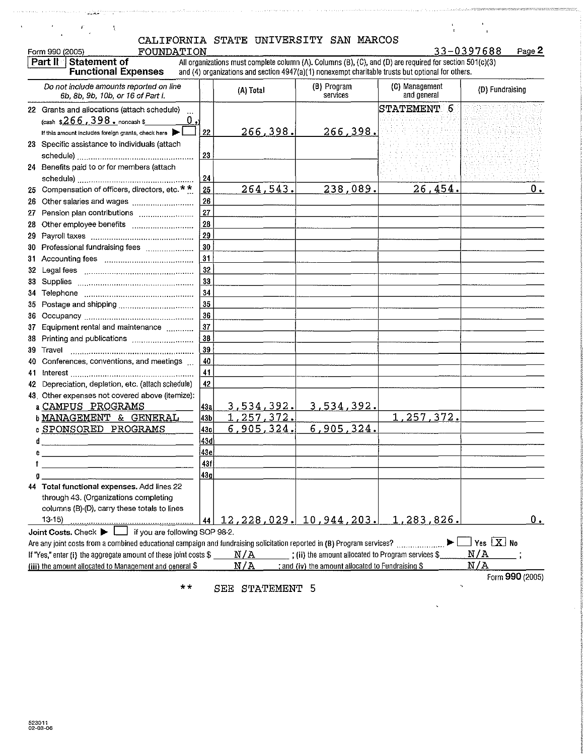| FOUNDATION<br>Form 990 (2005)<br>Part II Statement of<br><b>Functional Expenses</b>                                                                                                                                                                                              |                        |                          |                                                    | All organizations must complete column (A). Columns (B), (C), and (D) are required for section 501(c)(3)<br>and (4) organizations and section 4947(a)(1) nonexempt charitable trusts but optional for others. | 33-0397688<br>Page 2                   |
|----------------------------------------------------------------------------------------------------------------------------------------------------------------------------------------------------------------------------------------------------------------------------------|------------------------|--------------------------|----------------------------------------------------|---------------------------------------------------------------------------------------------------------------------------------------------------------------------------------------------------------------|----------------------------------------|
| Do not include amounts reported on line<br>6b, 8b, 9b, 10b, or 16 of Part I.                                                                                                                                                                                                     |                        | (A) Total                | (B) Program<br>services                            | (C) Management<br>and general                                                                                                                                                                                 | (D) Fundraising                        |
| 22 Grants and allocations (attach schedule)<br>(cash $$266, 398$ . noncash \$<br>If this amount includes foreign grants, check here $\blacktriangleright$                                                                                                                        | 0,<br>22               | 266, 398.                | 266, 398.                                          | STATEMENT 6                                                                                                                                                                                                   |                                        |
| 23 Specific assistance to individuals (attach                                                                                                                                                                                                                                    | 23                     |                          |                                                    |                                                                                                                                                                                                               |                                        |
| 24 Benefits paid to or for members (attach                                                                                                                                                                                                                                       | 24                     |                          |                                                    |                                                                                                                                                                                                               |                                        |
| 25 Compensation of officers, directors, etc.**<br>26 Other salaries and wages                                                                                                                                                                                                    | 25<br>26               | 264,543.                 | 238,089.                                           | 26,454.                                                                                                                                                                                                       | $0_{\bullet}$                          |
| 27 Pension plan contributions                                                                                                                                                                                                                                                    | 27<br>28               |                          |                                                    |                                                                                                                                                                                                               |                                        |
| 28 Other employee benefits                                                                                                                                                                                                                                                       | 29                     |                          |                                                    |                                                                                                                                                                                                               |                                        |
| 30 Professional fundraising fees                                                                                                                                                                                                                                                 | 30<br>31               |                          |                                                    |                                                                                                                                                                                                               |                                        |
|                                                                                                                                                                                                                                                                                  | 32<br>33               |                          |                                                    |                                                                                                                                                                                                               |                                        |
|                                                                                                                                                                                                                                                                                  | 34<br>35               |                          |                                                    |                                                                                                                                                                                                               |                                        |
| 37 Equipment rental and maintenance                                                                                                                                                                                                                                              | 36<br>37               |                          |                                                    |                                                                                                                                                                                                               |                                        |
| 38 Printing and publications                                                                                                                                                                                                                                                     | 38<br>39               |                          |                                                    |                                                                                                                                                                                                               |                                        |
| Conferences, conventions, and meetings<br>40.                                                                                                                                                                                                                                    | 40<br>41               |                          |                                                    |                                                                                                                                                                                                               |                                        |
| 42 Depreciation, depletion, etc. (attach schedule)<br>43. Other expenses not covered above (itemize):                                                                                                                                                                            | 42                     |                          |                                                    |                                                                                                                                                                                                               |                                        |
| a CAMPUS PROGRAMS<br><b>b MANAGEMENT &amp; GENERAL</b>                                                                                                                                                                                                                           | 43a<br>43 <sub>b</sub> | 3,534,392.<br>1,257,372. | 3,534,392.                                         | 1,257,372.                                                                                                                                                                                                    |                                        |
| <b>C SPONSORED PROGRAMS</b>                                                                                                                                                                                                                                                      | 43c                    | 6,905,324.               | 6,905,324.                                         |                                                                                                                                                                                                               |                                        |
| ď<br>e                                                                                                                                                                                                                                                                           | 43d<br> 43e            |                          |                                                    |                                                                                                                                                                                                               |                                        |
|                                                                                                                                                                                                                                                                                  | 43f<br>43 <sub>g</sub> |                          |                                                    |                                                                                                                                                                                                               |                                        |
| 44 Total functional expenses. Add lines 22<br>through 43. (Organizations completing<br>columns (B)-(D), carry these totals to lines<br>$13-15$                                                                                                                                   | 44                     |                          | 12, 228, 029, 10, 944, 203.                        | 1,283,826.                                                                                                                                                                                                    | $0_{\bullet}$                          |
| $\Box$ if you are following SOP 98-2.<br>Joint Costs. Check $\blacktriangleright$<br>Are any joint costs from a combined educational campaign and fundraising solicitation reported in (B) Program services?<br>If "Yes," enter (i) the aggregate amount of these joint costs \$ |                        | N/A                      | ; (ii) the amount allocated to Program services \$ |                                                                                                                                                                                                               | $]$ Yes $\boxed{\mathbf{X}}$ No<br>N/A |
| (iii) the amount allocated to Management and general $$$                                                                                                                                                                                                                         |                        | N/A                      | ; and (iv) the amount allocated to Fundraising \$  |                                                                                                                                                                                                               | N/A<br>Form 990 (2005)                 |

.<br>Predstavanje province predstavanje

maa meessa maaraan

 $\hat{\mathbf{r}}$ 

 $\mathbf{r}$ 

ŀ,

المتاريب والمتحدث والمتحدث والمتحدث كالمحتري والمرابي والمتها سيرق والمقالية والمتحدة

 $\hat{\sigma}$  and  $\hat{\sigma}$  , and the constraint map  $\hat{\sigma}$  and  $\hat{\sigma}$ 

 $\ddot{\phantom{a}}$ 

فتعلينا

J.

\*\* SEE STATEMENT 5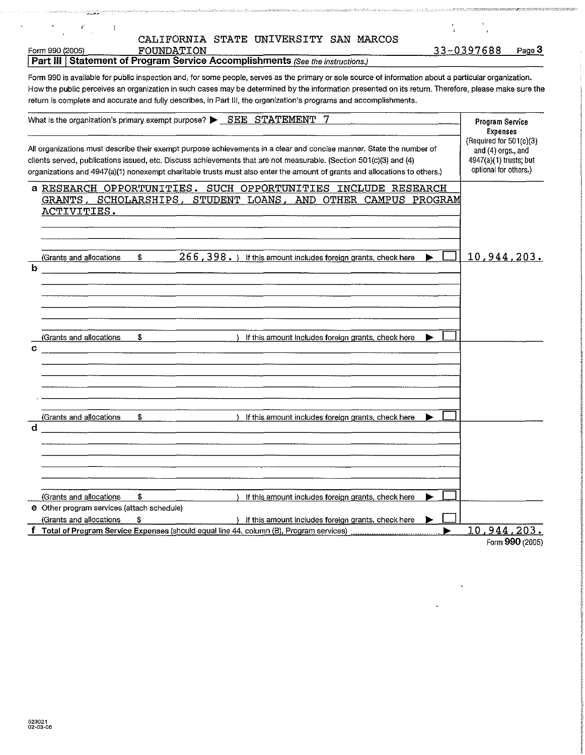$\label{eq:reduced} \mathcal{L}_{\mathcal{A}}(\mathcal{A})_{\mathcal{A}}(\mathcal{A})_{\mathcal{A}}(\mathcal{A})_{\mathcal{A}}(\mathcal{A})_{\mathcal{A}}(\mathcal{A})_{\mathcal{A}}(\mathcal{A})_{\mathcal{A}}(\mathcal{A})_{\mathcal{A}}(\mathcal{A})_{\mathcal{A}}(\mathcal{A})_{\mathcal{A}}(\mathcal{A})_{\mathcal{A}}(\mathcal{A})_{\mathcal{A}}(\mathcal{A})_{\mathcal{A}}(\mathcal{A})_{\mathcal{A}}(\mathcal{A})_{\mathcal{A}}(\mathcal{A})_{\mathcal{A}}(\mathcal{A$ 

 $\frac{1}{2}$ 

 $\hat{\mathcal{F}}$ 

للممانية والمستقيرين

 $\mathscr{F}_{\mathcal{A}}\subset \mathcal{A}$ 

Form 990 (2005)<br>
FOUNDATION<br>
Part III Statement of Program Service Accomplishments (See the instructions.)

.<br>המאוחר המשלמה האופי המאוחר המונים המונים המאוחרים המונים המאוחדים המאוחרים המאוחרים המאוחרים המאוחדים איניים מ

 $\frac{1}{4}$  ,  $\frac{1}{2}$  ,  $\frac{1}{2}$  ,  $\frac{1}{4}$ 

, a contra componente de la componenta

.<br>Katalog kalendar (1991-1991) dan menjadi ka

| Form 990 is available for public inspection and, for some people, serves as the primary or sole source of information about a particular organization. |
|--------------------------------------------------------------------------------------------------------------------------------------------------------|
| How the public perceives an organization in such cases may be determined by the information presented on its return. Therefore, please make sure the   |
| return is complete and accurate and fully describes, in Part III, the organization's programs and accomplishments.                                     |

| What is the organization's primary exempt purpose? $\triangleright$ $SEE$ $STATEMENT$ 7                                                                                                                                                                                                                                                                                 | Program Service<br><b>Expenses</b>                                                                 |
|-------------------------------------------------------------------------------------------------------------------------------------------------------------------------------------------------------------------------------------------------------------------------------------------------------------------------------------------------------------------------|----------------------------------------------------------------------------------------------------|
| All organizations must describe their exempt purpose achievements in a clear and concise manner. State the number of<br>clients served, publications issued, etc. Discuss achievements that are not measurable. (Section 501(c)(3) and (4)<br>organizations and 4947(a)(1) nonexempt charitable trusts must also enter the amount of grants and allocations to others.) | (Required for $501(c)(3)$<br>and (4) orgs., and<br>4947(a)(1) trusts; but<br>optional for others.) |
| a RESEARCH OPPORTUNITIES. SUCH OPPORTUNITIES INCLUDE RESEARCH<br>GRANTS, SCHOLARSHIPS, STUDENT LOANS, AND OTHER CAMPUS PROGRAM<br>ACTIVITIES.                                                                                                                                                                                                                           |                                                                                                    |
| $266$ , $398$ . ) If this amount includes foreign grants, check here<br>\$.<br>(Grants and allocations<br>b                                                                                                                                                                                                                                                             | 10,944,203.                                                                                        |
| \$<br>(Grants and allocations<br>If this amount includes foreign grants, check here<br>C                                                                                                                                                                                                                                                                                |                                                                                                    |
| (Grants and allocations<br>\$<br>If this amount includes foreign grants, check here<br>d                                                                                                                                                                                                                                                                                |                                                                                                    |
| \$<br>(Grants and allocations<br>If this amount includes foreign grants, check here<br>e Other program services (attach schedule)<br>(Grants and allocations<br>£<br>) If this amount includes foreign grants, check here                                                                                                                                               |                                                                                                    |
| f Total of Program Service Expenses (should equal line 44, column (B), Program services)                                                                                                                                                                                                                                                                                | 10,944,203.                                                                                        |

Form 990 (2005)

 $\tilde{\mathcal{A}}$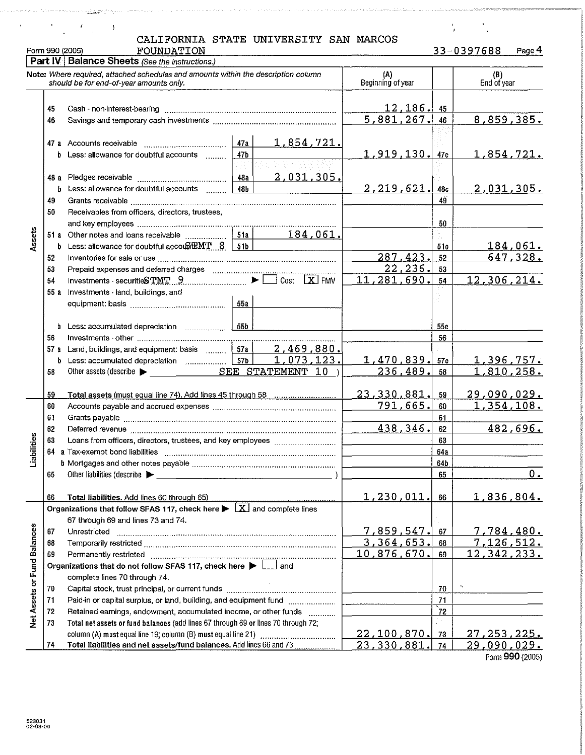Form 990 (2005) FOUNDATION 33-0397688 Page4 **Part IV | Balance Sheets (See the instructions.) Note: Where required, attached schedules and amounts within the description column**  (B) (A) **should be for end-of-year amounts only.**  End of year **Beginning of year**   $\frac{12,186.45}{81,267.46}$ 45 **Cash· non-interest-bearing** ...................................................................... . 8,859,385. 5,881,267. 46 **Savings and temporary cash investments** ................................................. . 47 **a** Accounts receivable  $\begin{array}{|c|c|c|c|c|c|}\n\hline\n\text{b} & \text{Less:} \text{ allows a role for doubtful accounts} \\
\hline\n\end{array} \qquad\n\begin{array}{|c|c|c|c|c|c|}\n\hline\n47a & 1,854,721.\n\hline\n\end{array}$ **b** Less: allowance for doubtful accounts ........ 1 919 130. 47c 1 854 721. **48 a** Pledges receivable **but construct the analytic of the US** 1805.<br> **b** Less: allowance for doubtful accounts **48b b** Less: allowance for doubtful accounts  $2.219.621$ . 48c  $2.031.305.$ 49 **Grants receivable** .. .. .. . .. .. .......................................................... . 49 50 **Receivables from officers, directors, trustees,**  50 .l!l 51 a " "' ~~~e~e~o~:P~~~e~::~~;~~~;~;~~~ : : :r~;~r i84 061.f------------+-"''-+---------  $\frac{6}{3}$  b Less: allowance for doubtful accoubile with  $\frac{51a}{51b}$   $\frac{104,001}{51c}$   $\frac{51c}{51c}$   $\frac{184,061}{51c}$ 51c 52 Inventories for sale or use  $\frac{1}{287}$  and  $\frac{1}{287}$  and  $\frac{1}{287}$  and  $\frac{1}{288}$  and  $\frac{1}{287}$  and  $\frac{1}{227}$  and  $\frac{1}{288}$  and  $\frac{1}{288}$  and deferred charges  $\frac{1}{227}$  and  $\frac{1}{287}$  and  $\frac{1}{227}$  and 287 423. 52 **Prepaid expenses and deferred charges**   $\frac{22,236}{281,690}$ 53  $11, 281, 690$ ,  $54$  12, 306, 214. Investments- securiti.S'r.~'r. ... ~ ........... ::::::::: · ··· ·~·"Clc~~; [xi FMV 54 55 a **Investments -land, buildings, and equipment: basis** .................................... .. 55 a b **Less: accumulated depreciation** 55b 55c 56 56 57 a Land, buildings, and equipment: basis  $\frac{1}{100}$   $\frac{57a}{34}$   $\frac{2,469,880}{3}$ b Less: accumulated depreciation . . I 57b I 1 0 7 3 12 3 • 1 470 839. 57c 1 3 9 6 7 5 7 • 58 Other assets (describe  $\blacktriangleright$  SEE STATEMENT  $10$  ) 236,489. 58 <sup>59</sup>**Total assets (must eaualline 74). Add lines 45 throuah 58** 23 330 881. 59 29 090 029. <sup>60</sup>**Accounts payable and accrued expenses** .................................................. . 791 665. 60 1 354 108. 61 **Grants payable** ...................................................................................... . 61 **Deferred revenue** .......... . 438 346. 62 482 696. 62 \_ 63<br>⊫ |<br>" **Loans from officers, directors, trustees, and key employees**  63 :c 64 64a  $\overline{\Xi}$ b Mortgages and other notes payable measurement control and control of the state of the state of the state of the S4b 65 Other liabilities (describe  $\blacktriangleright$  65  $0.$ **66 Total liabilities. Add lines 60 throuah 65)** .. 1 230 011. 66 1 836 804. **Organizations that follow SFAS 117, check here**  $\blacktriangleright \overline{X}$  **and complete lines 67 through 69 and lines 73 and** 74. **Net Assets or Fund Balances 67 Unrestricted** ........................................................................................... . 7 859 547. 67 7 784 480. **68 Temporarily restricted** ............................................................................ .. 3 364 653. 68 7 126 512. 69 Permanently restricted . . .. . .. . ........................................................ .. 10 876 670. 69 12 342 233. **Organizations that do not follow SFAS 117, check here**  $\blacktriangleright$  $\lfloor \ldots \rfloor$  **and** complete lines 70 through 74. 70 **Capital stock, trust principal, or current funds** ......................................... .. 70 ., **71 Paid-in or capital surplus, or land, building, and equipment fund** 71 72 Retained earnings, endowment, accumulated income, or other funds **............** | **72** 72 73 Total net assets or fund balances (add lines 67 through 69 or lines 70 through 72; column (A) must equal line 19; column (B) must equal line 21) ......... . 22 100 870. 73 27 253 225.

**74 Total liabilities and net assets/fund balances. Add lines 66 and 73** ... 23 330 881. 74 29 090 029.

 $\lambda$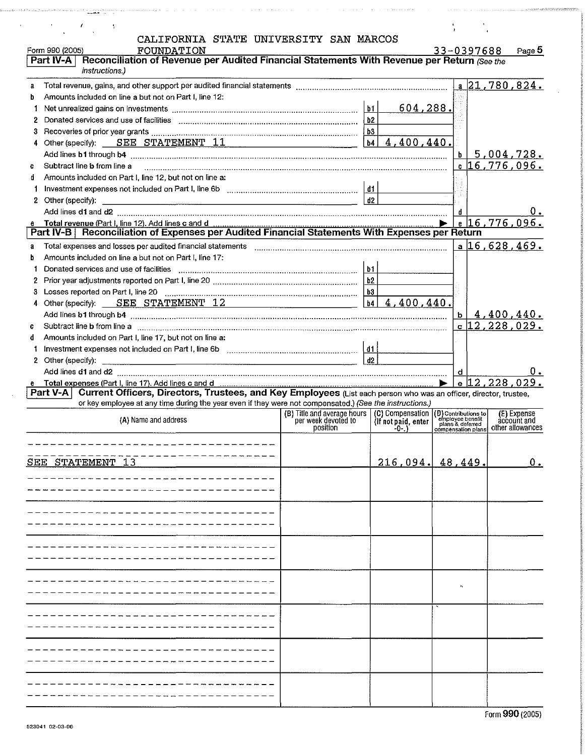|                | $\epsilon$                                                                                                                                                                                                                     |                                                                       |                     |                                                                                    |                            |
|----------------|--------------------------------------------------------------------------------------------------------------------------------------------------------------------------------------------------------------------------------|-----------------------------------------------------------------------|---------------------|------------------------------------------------------------------------------------|----------------------------|
|                | CALIFORNIA STATE UNIVERSITY SAN MARCOS                                                                                                                                                                                         |                                                                       |                     |                                                                                    |                            |
|                | Form 990 (2005)<br>FOUNDATION                                                                                                                                                                                                  |                                                                       |                     | 33-0397688                                                                         | Page 5                     |
|                | Part IV-A   Reconciliation of Revenue per Audited Financial Statements With Revenue per Return (See the                                                                                                                        |                                                                       |                     |                                                                                    |                            |
|                | instructions.)                                                                                                                                                                                                                 |                                                                       |                     |                                                                                    |                            |
|                |                                                                                                                                                                                                                                |                                                                       |                     |                                                                                    | $a$ 21,780,824.            |
| a              |                                                                                                                                                                                                                                |                                                                       |                     |                                                                                    |                            |
| b              | Amounts included on line a but not on Part I, line 12:                                                                                                                                                                         |                                                                       |                     |                                                                                    |                            |
| 1              | Net unrealized gains on investments [[11] with the contract the contract of the last set of the last set of the                                                                                                                |                                                                       | 604, 288.           |                                                                                    |                            |
| $\mathbf{2}^-$ |                                                                                                                                                                                                                                |                                                                       |                     |                                                                                    |                            |
| 3.             |                                                                                                                                                                                                                                |                                                                       |                     |                                                                                    |                            |
| 4              | Other (specify): SEE STATEMENT $11$ $\boxed{14}$ $\boxed{04}$ $\boxed{4}$ , $400$ , $440$ .                                                                                                                                    |                                                                       |                     |                                                                                    |                            |
|                |                                                                                                                                                                                                                                |                                                                       |                     | b.                                                                                 | 5,004,728.                 |
| C.             | Subtract line b from line a                                                                                                                                                                                                    |                                                                       |                     |                                                                                    | <u>。 16,776,096.</u>       |
| đ.             | Amounts included on Part I, line 12, but not on line a:                                                                                                                                                                        |                                                                       |                     |                                                                                    |                            |
|                |                                                                                                                                                                                                                                |                                                                       |                     |                                                                                    |                            |
|                |                                                                                                                                                                                                                                |                                                                       | d2                  |                                                                                    |                            |
|                |                                                                                                                                                                                                                                |                                                                       |                     | d                                                                                  |                            |
|                |                                                                                                                                                                                                                                |                                                                       |                     |                                                                                    | $e$ 16,776,096.            |
|                | Part IV-B   Reconciliation of Expenses per Audited Financial Statements With Expenses per Return                                                                                                                               |                                                                       |                     |                                                                                    |                            |
| a              |                                                                                                                                                                                                                                |                                                                       |                     |                                                                                    | $a \mid 16,628,469.$       |
| b.             | Amounts included on line a but not on Part I, line 17:                                                                                                                                                                         |                                                                       |                     |                                                                                    |                            |
| 1              |                                                                                                                                                                                                                                |                                                                       |                     |                                                                                    |                            |
| 2.             |                                                                                                                                                                                                                                |                                                                       |                     |                                                                                    |                            |
| 3.             |                                                                                                                                                                                                                                |                                                                       |                     |                                                                                    |                            |
|                | 4 Other (specify): <u>SEE STATEMENT 12</u> b4 4, 400, 440.                                                                                                                                                                     |                                                                       |                     |                                                                                    |                            |
|                | Add lines b1 through b4 manufactured and content and content and content and content and content and content and content and content and content and content and content and content and content and content and content and c |                                                                       |                     | b                                                                                  | 4,400,440.                 |
| C              |                                                                                                                                                                                                                                |                                                                       |                     |                                                                                    | $c 12,228,029$ .           |
| d.             | Subtract line b from line a measurement communication of the contract communication of the b from line a                                                                                                                       |                                                                       |                     |                                                                                    |                            |
|                | Amounts included on Part I, line 17, but not on line a:                                                                                                                                                                        |                                                                       |                     |                                                                                    |                            |
|                |                                                                                                                                                                                                                                |                                                                       | d2                  |                                                                                    |                            |
|                |                                                                                                                                                                                                                                |                                                                       |                     |                                                                                    |                            |
|                |                                                                                                                                                                                                                                |                                                                       |                     |                                                                                    |                            |
|                |                                                                                                                                                                                                                                |                                                                       |                     | d                                                                                  | $0\leq$                    |
|                |                                                                                                                                                                                                                                |                                                                       |                     |                                                                                    | . 12,228,029 او l e        |
|                | Current Officers, Directors, Trustees, and Key Employees (List each person who was an officer, director, trustee,<br>Part V-A                                                                                                  |                                                                       |                     |                                                                                    |                            |
|                | or key employee at any time during the year even if they were not compensated.) (See the instructions.)                                                                                                                        |                                                                       |                     |                                                                                    |                            |
|                | (A) Name and address                                                                                                                                                                                                           | (B) Title and average hours   (C) Compensation<br>per week devoted to | (If not paid, enter |                                                                                    | (E) Expense<br>account and |
|                |                                                                                                                                                                                                                                | position                                                              | -0-.)               | (D) Contributions to<br>employee benefit<br>plans & deferred<br>compensation plans | other allowances           |
|                |                                                                                                                                                                                                                                |                                                                       |                     |                                                                                    |                            |
|                |                                                                                                                                                                                                                                |                                                                       |                     |                                                                                    |                            |
|                | SEE STATEMENT 13                                                                                                                                                                                                               |                                                                       | $216,094$ , 48,449. |                                                                                    | $0_{\bullet}$              |
|                |                                                                                                                                                                                                                                |                                                                       |                     |                                                                                    |                            |
|                |                                                                                                                                                                                                                                |                                                                       |                     |                                                                                    |                            |
|                |                                                                                                                                                                                                                                |                                                                       |                     |                                                                                    |                            |
|                |                                                                                                                                                                                                                                |                                                                       |                     |                                                                                    |                            |
|                |                                                                                                                                                                                                                                |                                                                       |                     |                                                                                    |                            |
|                |                                                                                                                                                                                                                                |                                                                       |                     |                                                                                    |                            |
|                |                                                                                                                                                                                                                                |                                                                       |                     |                                                                                    |                            |
|                |                                                                                                                                                                                                                                |                                                                       |                     |                                                                                    |                            |
|                |                                                                                                                                                                                                                                |                                                                       |                     |                                                                                    |                            |
|                |                                                                                                                                                                                                                                |                                                                       |                     |                                                                                    |                            |
|                |                                                                                                                                                                                                                                |                                                                       |                     |                                                                                    |                            |
|                |                                                                                                                                                                                                                                |                                                                       |                     |                                                                                    |                            |
|                |                                                                                                                                                                                                                                |                                                                       |                     |                                                                                    |                            |
|                |                                                                                                                                                                                                                                |                                                                       |                     |                                                                                    |                            |
|                |                                                                                                                                                                                                                                |                                                                       |                     |                                                                                    |                            |
|                |                                                                                                                                                                                                                                |                                                                       |                     |                                                                                    |                            |
|                |                                                                                                                                                                                                                                |                                                                       |                     |                                                                                    |                            |
|                |                                                                                                                                                                                                                                |                                                                       |                     |                                                                                    |                            |
|                |                                                                                                                                                                                                                                |                                                                       |                     |                                                                                    |                            |
|                |                                                                                                                                                                                                                                |                                                                       |                     |                                                                                    |                            |
|                |                                                                                                                                                                                                                                |                                                                       |                     |                                                                                    |                            |

 $\sim$   $\sim$   $\sim$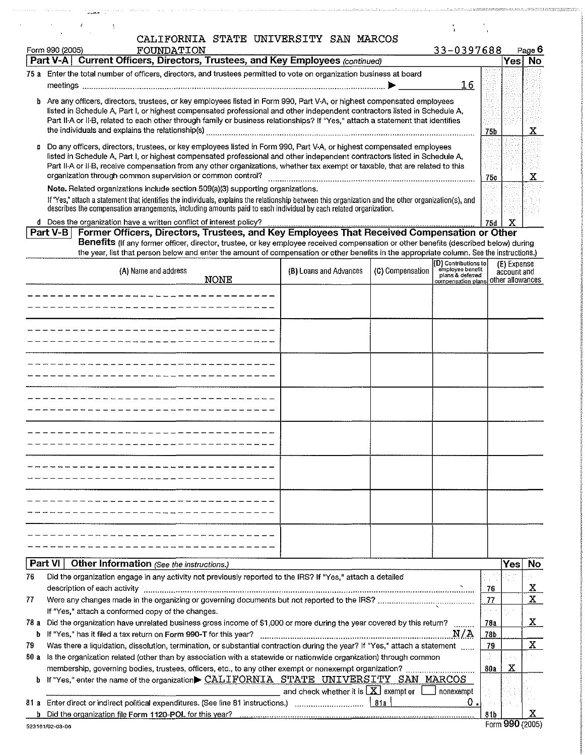|   | CALIFORNIA STATE UNIVERSITY SAN MARCOS                                                                                                                                                                                                                                            |                        |                  |                                                                             |     |             |               |
|---|-----------------------------------------------------------------------------------------------------------------------------------------------------------------------------------------------------------------------------------------------------------------------------------|------------------------|------------------|-----------------------------------------------------------------------------|-----|-------------|---------------|
|   | FOUNDATION<br>Form 990 (2005)                                                                                                                                                                                                                                                     |                        |                  | 33-0397688                                                                  |     |             | Page <b>b</b> |
|   | Current Officers, Directors, Trustees, and Key Employees (continued)<br>Part V-A                                                                                                                                                                                                  |                        |                  |                                                                             |     | <b>Yes</b>  | No            |
|   | 75 a Enter the total number of officers, directors, and trustees permitted to vote on organization business at board                                                                                                                                                              |                        |                  |                                                                             |     |             |               |
|   |                                                                                                                                                                                                                                                                                   |                        |                  | 16                                                                          |     |             |               |
|   | b Are any officers, directors, trustees, or key employees listed in Form 990, Part V-A, or highest compensated employees                                                                                                                                                          |                        |                  |                                                                             |     |             |               |
|   | listed in Schedule A, Part I, or highest compensated professional and other independent contractors listed in Schedule A,<br>Part II-A or II-B, related to each other through family or business relationships? If "Yes," attach a statement that identifies                      |                        |                  |                                                                             |     |             |               |
|   | the individuals and explains the relationship(s)                                                                                                                                                                                                                                  |                        |                  |                                                                             | 75b |             | x             |
| c | Do any officers, directors, trustees, or key employees listed in Form 990, Part V-A, or highest compensated employees                                                                                                                                                             |                        |                  |                                                                             |     |             |               |
|   | listed in Schedule A, Part I, or highest compensated professional and other independent contractors listed in Schedule A,                                                                                                                                                         |                        |                  |                                                                             |     |             |               |
|   | Part II-A or II-B, receive compensation from any other organizations, whether tax exempt or taxable, that are related to this                                                                                                                                                     |                        |                  |                                                                             |     |             |               |
|   | organization through common supervision or common control?                                                                                                                                                                                                                        |                        |                  |                                                                             | 75c |             | х             |
|   | Note. Related organizations include section 509(a)(3) supporting organizations.<br>If "Yes," attach a statement that identifies the individuals, explains the relationship between this organization and the other organization(s), and                                           |                        |                  |                                                                             |     |             |               |
|   | describes the compensation arrangements, including amounts paid to each individual by each related organization.                                                                                                                                                                  |                        |                  |                                                                             |     |             |               |
|   | d Does the organization have a written conflict of interest policy?                                                                                                                                                                                                               |                        |                  |                                                                             | 75d | х           |               |
|   | Former Officers, Directors, Trustees, and Key Employees That Received Compensation or Other<br>Part V-B                                                                                                                                                                           |                        |                  |                                                                             |     |             |               |
|   | Benefits (If any former officer, director, trustee, or key employee received compensation or other benefits (described below) during<br>the year, list that person below and enter the amount of compensation or other benefits in the appropriate column. See the instructions.) |                        |                  |                                                                             |     |             |               |
|   |                                                                                                                                                                                                                                                                                   |                        |                  | (D) Contributions to                                                        |     | (E) Expense |               |
|   | (A) Name and address<br><b>NONE</b>                                                                                                                                                                                                                                               | (B) Loans and Advances | (C) Compensation | employee benefit<br>plans & deferred<br>compensation plans other allowances |     | account and |               |
|   |                                                                                                                                                                                                                                                                                   |                        |                  |                                                                             |     |             |               |
|   |                                                                                                                                                                                                                                                                                   |                        |                  |                                                                             |     |             |               |
|   |                                                                                                                                                                                                                                                                                   |                        |                  |                                                                             |     |             |               |
|   |                                                                                                                                                                                                                                                                                   |                        |                  |                                                                             |     |             |               |
|   |                                                                                                                                                                                                                                                                                   |                        |                  |                                                                             |     |             |               |
|   |                                                                                                                                                                                                                                                                                   |                        |                  |                                                                             |     |             |               |
|   |                                                                                                                                                                                                                                                                                   |                        |                  |                                                                             |     |             |               |
|   |                                                                                                                                                                                                                                                                                   |                        |                  |                                                                             |     |             |               |
|   |                                                                                                                                                                                                                                                                                   |                        |                  |                                                                             |     |             |               |
|   |                                                                                                                                                                                                                                                                                   |                        |                  |                                                                             |     |             |               |
|   |                                                                                                                                                                                                                                                                                   |                        |                  |                                                                             |     |             |               |
|   |                                                                                                                                                                                                                                                                                   |                        |                  |                                                                             |     |             |               |

المتقصص والمستحيل والمناول والمستحدث والمتحدث والمتحدث والمستحدث

a programa de la programa de la ca

فتفتت

 $\mathbb{R}^2$ 

|      | Other Information (See the instructions.)<br>Part VI I                                                                      |       | Yes. | No. |
|------|-----------------------------------------------------------------------------------------------------------------------------|-------|------|-----|
| 76   | Did the organization engage in any activity not previously reported to the IRS? If "Yes," attach a detailed                 |       |      |     |
|      | description of each activity                                                                                                | 76    |      | x   |
| 77   |                                                                                                                             | 77    |      | x   |
|      | If "Yes," attach a conformed copy of the changes.                                                                           |       |      |     |
| 78 а | Did the organization have unrelated business gross income of \$1,000 or more during the year covered by this return?        | 78a   |      | x   |
|      | N/A<br><b>b</b> If "Yes," has it filed a tax return on Form 990-T for this year?                                            | 78b   |      |     |
| 79   | Was there a liquidation, dissolution, termination, or substantial contraction during the year? If "Yes," attach a statement | 79    |      | x   |
| 80 a | Is the organization related (other than by association with a statewide or nationwide organization) through common          |       |      |     |
|      | membership, governing bodies, trustees, officers, etc., to any other exempt or nonexempt organization?                      | 80a   | x    |     |
|      | b If "Yes," enter the name of the organization CALIFORNIA STATE UNIVERSITY SAN MARCOS                                       |       |      |     |
|      | and check whether it is $\lfloor \mathbf{X} \rfloor$ exempt or<br>nonexempt                                                 |       |      |     |
| 81 а | Enter direct or indirect political expenditures. (See line 81 instructions.)<br>O<br>811                                    |       |      |     |
|      | b Did the organization file Form 1120-POL for this year?                                                                    | 8 I b |      |     |

---------------------------------

--------------------------------- ---------------------------------

--------------------------------- ---------------------------------

.<br>The special contract the state of the state of the state of the state of the state of the state of the state of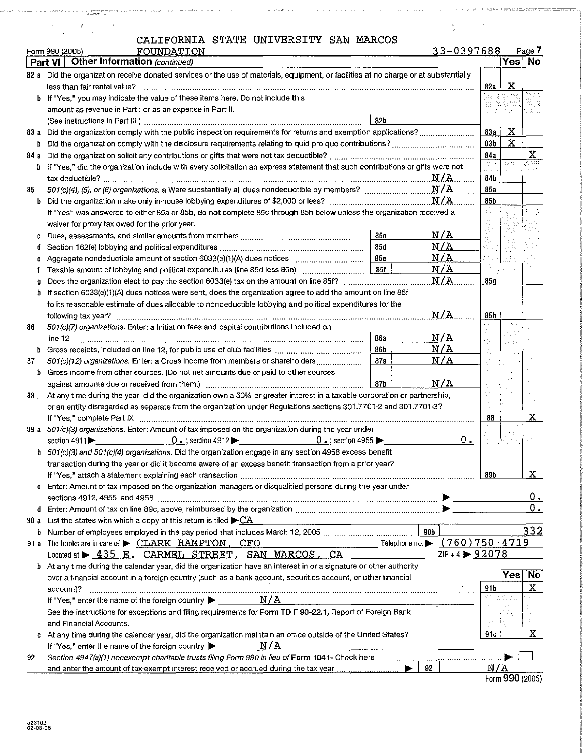|  |  |  | 'ALIFORNIA STATE UNIVERSITY SAN MARCOS |  |  |
|--|--|--|----------------------------------------|--|--|
|--|--|--|----------------------------------------|--|--|

أمحوه والمتعاون والمتناوب والمتناور

| b<br>b<br>84 а<br>b<br>85<br>b<br>c<br>đ<br>e<br>h<br>86 | Part VI   Other Information (continued)<br>82 a Did the organization receive donated services or the use of materials, equipment, or facilities at no charge or at substantially<br>less than fair rental value?<br>If "Yes," you may indicate the value of these items here. Do not include this<br>amount as revenue in Part I or as an expense in Part II.<br>02 <sub>b</sub><br>83 a Did the organization comply with the public inspection requirements for returns and exemption applications?<br>If "Yes," did the organization include with every solicitation an express statement that such contributions or gifts were not<br>If "Yes" was answered to either 85a or 85b, do not complete 85c through 85h below unless the organization received a<br>waiver for proxy tax owed for the prior year.<br>N/A<br><b>85c</b><br>N/A<br>85d<br>N/A<br><b>85e</b><br>N/A<br>85f<br>Taxable amount of lobbying and political expenditures (line 85d less 85e) [<br>N/A<br>If section 6033(e)(1)(A) dues notices were sent, does the organization agree to add the amount on line 85f | 82a<br>83а<br>83b<br>84a<br>84b<br>85a<br>85b | х<br>$\mathbf X$<br>$\mathbf X$ | Yes  No<br>$\mathbf{x}$ |
|----------------------------------------------------------|------------------------------------------------------------------------------------------------------------------------------------------------------------------------------------------------------------------------------------------------------------------------------------------------------------------------------------------------------------------------------------------------------------------------------------------------------------------------------------------------------------------------------------------------------------------------------------------------------------------------------------------------------------------------------------------------------------------------------------------------------------------------------------------------------------------------------------------------------------------------------------------------------------------------------------------------------------------------------------------------------------------------------------------------------------------------------------------|-----------------------------------------------|---------------------------------|-------------------------|
|                                                          |                                                                                                                                                                                                                                                                                                                                                                                                                                                                                                                                                                                                                                                                                                                                                                                                                                                                                                                                                                                                                                                                                          |                                               |                                 |                         |
|                                                          |                                                                                                                                                                                                                                                                                                                                                                                                                                                                                                                                                                                                                                                                                                                                                                                                                                                                                                                                                                                                                                                                                          |                                               |                                 |                         |
|                                                          |                                                                                                                                                                                                                                                                                                                                                                                                                                                                                                                                                                                                                                                                                                                                                                                                                                                                                                                                                                                                                                                                                          |                                               |                                 |                         |
|                                                          |                                                                                                                                                                                                                                                                                                                                                                                                                                                                                                                                                                                                                                                                                                                                                                                                                                                                                                                                                                                                                                                                                          |                                               |                                 |                         |
|                                                          |                                                                                                                                                                                                                                                                                                                                                                                                                                                                                                                                                                                                                                                                                                                                                                                                                                                                                                                                                                                                                                                                                          |                                               |                                 |                         |
|                                                          |                                                                                                                                                                                                                                                                                                                                                                                                                                                                                                                                                                                                                                                                                                                                                                                                                                                                                                                                                                                                                                                                                          |                                               |                                 |                         |
|                                                          |                                                                                                                                                                                                                                                                                                                                                                                                                                                                                                                                                                                                                                                                                                                                                                                                                                                                                                                                                                                                                                                                                          |                                               |                                 |                         |
|                                                          |                                                                                                                                                                                                                                                                                                                                                                                                                                                                                                                                                                                                                                                                                                                                                                                                                                                                                                                                                                                                                                                                                          |                                               |                                 |                         |
|                                                          |                                                                                                                                                                                                                                                                                                                                                                                                                                                                                                                                                                                                                                                                                                                                                                                                                                                                                                                                                                                                                                                                                          |                                               |                                 |                         |
|                                                          |                                                                                                                                                                                                                                                                                                                                                                                                                                                                                                                                                                                                                                                                                                                                                                                                                                                                                                                                                                                                                                                                                          |                                               |                                 |                         |
|                                                          |                                                                                                                                                                                                                                                                                                                                                                                                                                                                                                                                                                                                                                                                                                                                                                                                                                                                                                                                                                                                                                                                                          |                                               |                                 |                         |
|                                                          |                                                                                                                                                                                                                                                                                                                                                                                                                                                                                                                                                                                                                                                                                                                                                                                                                                                                                                                                                                                                                                                                                          |                                               |                                 |                         |
|                                                          |                                                                                                                                                                                                                                                                                                                                                                                                                                                                                                                                                                                                                                                                                                                                                                                                                                                                                                                                                                                                                                                                                          |                                               |                                 |                         |
|                                                          |                                                                                                                                                                                                                                                                                                                                                                                                                                                                                                                                                                                                                                                                                                                                                                                                                                                                                                                                                                                                                                                                                          |                                               |                                 |                         |
|                                                          |                                                                                                                                                                                                                                                                                                                                                                                                                                                                                                                                                                                                                                                                                                                                                                                                                                                                                                                                                                                                                                                                                          |                                               |                                 |                         |
|                                                          |                                                                                                                                                                                                                                                                                                                                                                                                                                                                                                                                                                                                                                                                                                                                                                                                                                                                                                                                                                                                                                                                                          |                                               |                                 |                         |
|                                                          |                                                                                                                                                                                                                                                                                                                                                                                                                                                                                                                                                                                                                                                                                                                                                                                                                                                                                                                                                                                                                                                                                          |                                               |                                 |                         |
|                                                          |                                                                                                                                                                                                                                                                                                                                                                                                                                                                                                                                                                                                                                                                                                                                                                                                                                                                                                                                                                                                                                                                                          |                                               |                                 |                         |
|                                                          |                                                                                                                                                                                                                                                                                                                                                                                                                                                                                                                                                                                                                                                                                                                                                                                                                                                                                                                                                                                                                                                                                          | 85g                                           |                                 |                         |
|                                                          |                                                                                                                                                                                                                                                                                                                                                                                                                                                                                                                                                                                                                                                                                                                                                                                                                                                                                                                                                                                                                                                                                          |                                               |                                 |                         |
|                                                          | to its reasonable estimate of dues allocable to nondeductible lobbying and political expenditures for the<br>N/A                                                                                                                                                                                                                                                                                                                                                                                                                                                                                                                                                                                                                                                                                                                                                                                                                                                                                                                                                                         | 85h                                           |                                 |                         |
|                                                          | 501(c)(7) organizations. Enter: a Initiation fees and capital contributions included on                                                                                                                                                                                                                                                                                                                                                                                                                                                                                                                                                                                                                                                                                                                                                                                                                                                                                                                                                                                                  |                                               |                                 |                         |
|                                                          | $\ln e$ 12 $\ldots$<br>N/A<br><b>86a</b>                                                                                                                                                                                                                                                                                                                                                                                                                                                                                                                                                                                                                                                                                                                                                                                                                                                                                                                                                                                                                                                 |                                               |                                 |                         |
| b                                                        | N/A<br>86b                                                                                                                                                                                                                                                                                                                                                                                                                                                                                                                                                                                                                                                                                                                                                                                                                                                                                                                                                                                                                                                                               |                                               |                                 |                         |
| 87                                                       | N/A<br>87a<br>501(c)(12) organizations. Enter: a Gross income from members or shareholders                                                                                                                                                                                                                                                                                                                                                                                                                                                                                                                                                                                                                                                                                                                                                                                                                                                                                                                                                                                               |                                               |                                 |                         |
| b                                                        | Gross income from other sources. (Do not net amounts due or paid to other sources                                                                                                                                                                                                                                                                                                                                                                                                                                                                                                                                                                                                                                                                                                                                                                                                                                                                                                                                                                                                        |                                               |                                 |                         |
|                                                          | N/A<br>87b                                                                                                                                                                                                                                                                                                                                                                                                                                                                                                                                                                                                                                                                                                                                                                                                                                                                                                                                                                                                                                                                               |                                               |                                 |                         |
| 88.                                                      | At any time during the year, did the organization own a 50% or greater interest in a taxable corporation or partnership,                                                                                                                                                                                                                                                                                                                                                                                                                                                                                                                                                                                                                                                                                                                                                                                                                                                                                                                                                                 |                                               |                                 |                         |
|                                                          | or an entity disregarded as separate from the organization under Regulations sections 301.7701-2 and 301.7701-37                                                                                                                                                                                                                                                                                                                                                                                                                                                                                                                                                                                                                                                                                                                                                                                                                                                                                                                                                                         |                                               |                                 | $\mathbf{X}$            |
|                                                          |                                                                                                                                                                                                                                                                                                                                                                                                                                                                                                                                                                                                                                                                                                                                                                                                                                                                                                                                                                                                                                                                                          | 88                                            |                                 |                         |
|                                                          | 89 a 501(c)(3) organizations. Enter: Amount of tax imposed on the organization during the year under:                                                                                                                                                                                                                                                                                                                                                                                                                                                                                                                                                                                                                                                                                                                                                                                                                                                                                                                                                                                    |                                               |                                 |                         |
|                                                          | 501(c)(3) and 501(c)(4) organizations. Did the organization engage in any section 4958 excess benefit                                                                                                                                                                                                                                                                                                                                                                                                                                                                                                                                                                                                                                                                                                                                                                                                                                                                                                                                                                                    |                                               |                                 |                         |
|                                                          | transaction during the year or did it become aware of an excess benefit transaction from a prior year?                                                                                                                                                                                                                                                                                                                                                                                                                                                                                                                                                                                                                                                                                                                                                                                                                                                                                                                                                                                   |                                               |                                 |                         |
|                                                          |                                                                                                                                                                                                                                                                                                                                                                                                                                                                                                                                                                                                                                                                                                                                                                                                                                                                                                                                                                                                                                                                                          | 89b                                           |                                 | $\mathbf{x}$            |
|                                                          | Enter: Amount of tax imposed on the organization managers or disqualified persons during the year under                                                                                                                                                                                                                                                                                                                                                                                                                                                                                                                                                                                                                                                                                                                                                                                                                                                                                                                                                                                  |                                               |                                 |                         |
|                                                          |                                                                                                                                                                                                                                                                                                                                                                                                                                                                                                                                                                                                                                                                                                                                                                                                                                                                                                                                                                                                                                                                                          |                                               |                                 | <u>0.</u>               |
| d.                                                       |                                                                                                                                                                                                                                                                                                                                                                                                                                                                                                                                                                                                                                                                                                                                                                                                                                                                                                                                                                                                                                                                                          |                                               |                                 | $0_{\cdot}$             |
|                                                          | 90 a List the states with which a copy of this return is filed $\blacktriangleright$ CA                                                                                                                                                                                                                                                                                                                                                                                                                                                                                                                                                                                                                                                                                                                                                                                                                                                                                                                                                                                                  |                                               |                                 |                         |
| b.                                                       |                                                                                                                                                                                                                                                                                                                                                                                                                                                                                                                                                                                                                                                                                                                                                                                                                                                                                                                                                                                                                                                                                          |                                               |                                 | 332                     |
| 91 a                                                     | $\begin{array}{ c c c c c }\hline \text{N} & \text{N} & \text{N} & \text{N} & \text{N} & \text{N} & \text{N} & \text{N} \ \hline \text{N} & \text{N} & \text{N} & \text{N} & \text{N} & \text{N} & \text{N} & \text{N} \ \hline \text{N} & \text{N} & \text{N} & \text{N} & \text{N} & \text{N} & \text{N} & \text{N} & \text{N} & \text{N} & \text{N} & \text{N} & \text{N} & \text{N} & \text{N} & \text{N} & \text{$<br>The books are in care of CLARK HAMPTON, CFO<br>Located at > 435 E. CARMEL STREET, SAN MARCOS, CA<br>ZIP + 4 $\triangleright$ 92078                                                                                                                                                                                                                                                                                                                                                                                                                                                                                                                            |                                               |                                 |                         |
| b                                                        | At any time during the calendar year, did the organization have an interest in or a signature or other authority                                                                                                                                                                                                                                                                                                                                                                                                                                                                                                                                                                                                                                                                                                                                                                                                                                                                                                                                                                         |                                               |                                 |                         |
|                                                          | over a financial account in a foreign country (such as a bank account, securities account, or other financial                                                                                                                                                                                                                                                                                                                                                                                                                                                                                                                                                                                                                                                                                                                                                                                                                                                                                                                                                                            |                                               | Yes                             | <b>No</b>               |
|                                                          | account)?                                                                                                                                                                                                                                                                                                                                                                                                                                                                                                                                                                                                                                                                                                                                                                                                                                                                                                                                                                                                                                                                                | 91b                                           |                                 | $\mathbf{x}$            |
|                                                          | If "Yes," enter the name of the foreign country $\blacktriangleright$ ___________ N/A                                                                                                                                                                                                                                                                                                                                                                                                                                                                                                                                                                                                                                                                                                                                                                                                                                                                                                                                                                                                    |                                               |                                 |                         |
|                                                          | See the instructions for exceptions and filing requirements for Form TD F 90-22.1, Report of Foreign Bank                                                                                                                                                                                                                                                                                                                                                                                                                                                                                                                                                                                                                                                                                                                                                                                                                                                                                                                                                                                |                                               |                                 |                         |
|                                                          | and Financial Accounts.                                                                                                                                                                                                                                                                                                                                                                                                                                                                                                                                                                                                                                                                                                                                                                                                                                                                                                                                                                                                                                                                  |                                               |                                 |                         |
|                                                          | At any time during the calendar year, did the organization maintain an office outside of the United States?                                                                                                                                                                                                                                                                                                                                                                                                                                                                                                                                                                                                                                                                                                                                                                                                                                                                                                                                                                              | 91c                                           |                                 | X.                      |
|                                                          | If "Yes," enter the name of the foreign country $\blacktriangleright$ __________ N/A                                                                                                                                                                                                                                                                                                                                                                                                                                                                                                                                                                                                                                                                                                                                                                                                                                                                                                                                                                                                     |                                               |                                 |                         |
| 92                                                       |                                                                                                                                                                                                                                                                                                                                                                                                                                                                                                                                                                                                                                                                                                                                                                                                                                                                                                                                                                                                                                                                                          |                                               |                                 |                         |

Form 990 (2005)

 $\hat{\mathcal{L}}$ 

.<br>Listo Anniberr

a na karam<mark>a</mark>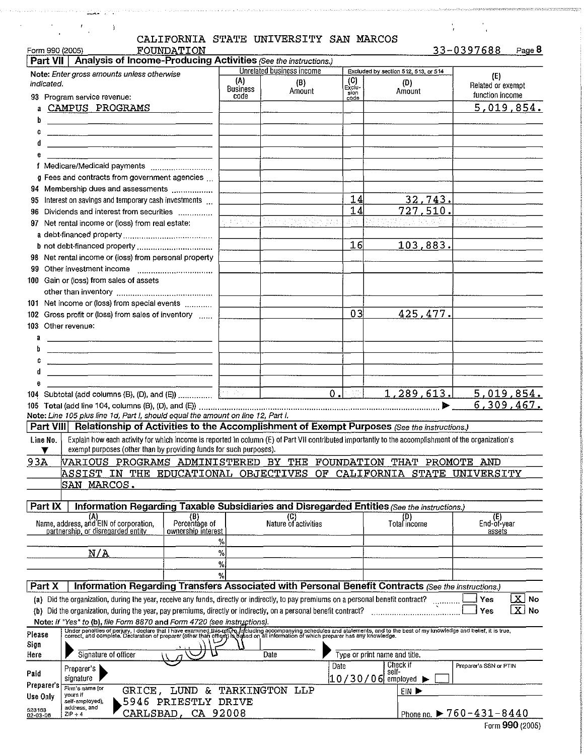|                    | $\frac{L}{\epsilon}$                                                                                                                                                                                                              |                              |                         | in the traditional comparation of the company of the company of the state of the second company of the section of<br>CALIFORNIA STATE UNIVERSITY SAN MARCOS |               |                                           |                                         |
|--------------------|-----------------------------------------------------------------------------------------------------------------------------------------------------------------------------------------------------------------------------------|------------------------------|-------------------------|-------------------------------------------------------------------------------------------------------------------------------------------------------------|---------------|-------------------------------------------|-----------------------------------------|
| Form 990 (2005)    | Part VII   Analysis of Income-Producing Activities (See the instructions.)                                                                                                                                                        | FOUNDATION                   |                         |                                                                                                                                                             |               |                                           | 33-0397688<br>Page 8                    |
|                    | Note: Enter gross amounts unless otherwise                                                                                                                                                                                        |                              |                         | Unrelated business income                                                                                                                                   |               | Excluded by section 512, 513, or 514      |                                         |
| indicated.         |                                                                                                                                                                                                                                   |                              | (A)                     | (B)                                                                                                                                                         | (C)<br>Exclu- | (D)                                       | (E)<br>Related or exempt                |
|                    | 93 Program service revenue:                                                                                                                                                                                                       |                              | <b>Business</b><br>code | Amount                                                                                                                                                      | sion<br>code  | Amount                                    | function income                         |
|                    | <b>CAMPUS PROGRAMS</b>                                                                                                                                                                                                            |                              |                         |                                                                                                                                                             |               |                                           | 5,019,854.                              |
| b                  |                                                                                                                                                                                                                                   |                              |                         |                                                                                                                                                             |               |                                           |                                         |
| c                  |                                                                                                                                                                                                                                   |                              |                         |                                                                                                                                                             |               |                                           |                                         |
| đ                  | <u> 1980 - Jan James James, politik eta politik (h. 1900).</u>                                                                                                                                                                    |                              |                         |                                                                                                                                                             |               |                                           |                                         |
| e                  |                                                                                                                                                                                                                                   |                              |                         |                                                                                                                                                             |               |                                           |                                         |
|                    | f Medicare/Medicaid payments                                                                                                                                                                                                      |                              |                         |                                                                                                                                                             |               |                                           |                                         |
|                    | g Fees and contracts from government agencies                                                                                                                                                                                     |                              |                         |                                                                                                                                                             |               |                                           |                                         |
| 95.                | 94 Membership dues and assessments<br>Interest on savings and temporary cash investments                                                                                                                                          |                              |                         |                                                                                                                                                             | 14            | <u>32,743.</u>                            |                                         |
| 96.                | Dividends and interest from securities                                                                                                                                                                                            |                              |                         |                                                                                                                                                             | 14            | 727.510.                                  |                                         |
|                    | 97 Net rental income or (loss) from real estate:                                                                                                                                                                                  |                              |                         | topolitici file                                                                                                                                             |               |                                           | Apab Carlos I.                          |
|                    |                                                                                                                                                                                                                                   |                              |                         |                                                                                                                                                             |               |                                           |                                         |
|                    |                                                                                                                                                                                                                                   |                              |                         |                                                                                                                                                             | 16            | 103.883.                                  |                                         |
|                    | 98 Net rental income or (loss) from personal property                                                                                                                                                                             |                              |                         |                                                                                                                                                             |               |                                           |                                         |
| 99.                |                                                                                                                                                                                                                                   |                              |                         |                                                                                                                                                             |               |                                           |                                         |
|                    | 100 Gain or (loss) from sales of assets                                                                                                                                                                                           |                              |                         |                                                                                                                                                             |               |                                           |                                         |
|                    |                                                                                                                                                                                                                                   |                              |                         |                                                                                                                                                             |               |                                           |                                         |
|                    | 101 Net income or (loss) from special events                                                                                                                                                                                      |                              |                         |                                                                                                                                                             |               |                                           |                                         |
|                    | 102 Gross profit or (loss) from sales of inventory                                                                                                                                                                                |                              |                         |                                                                                                                                                             | 03            | 425,477.                                  |                                         |
|                    | 103 Other revenue:                                                                                                                                                                                                                |                              |                         |                                                                                                                                                             |               |                                           |                                         |
| a                  |                                                                                                                                                                                                                                   |                              |                         |                                                                                                                                                             |               |                                           |                                         |
|                    |                                                                                                                                                                                                                                   |                              |                         |                                                                                                                                                             |               |                                           |                                         |
|                    | and the contract of the contract of the contract of the contract of the contract of the contract of the contract of                                                                                                               |                              |                         |                                                                                                                                                             |               |                                           |                                         |
| d                  | <u> 1980 - Jan Samman, Amerikaans en Staatsman (</u>                                                                                                                                                                              |                              |                         |                                                                                                                                                             |               |                                           |                                         |
| 6                  | 104 Subtotal (add columns (B), (D), and (E))                                                                                                                                                                                      |                              |                         |                                                                                                                                                             | 0.            | 1,289,613.                                | 5,019,854.                              |
|                    |                                                                                                                                                                                                                                   |                              |                         |                                                                                                                                                             |               |                                           | 6,309,467.                              |
|                    | Note: Line 105 plus line 1d, Part I, should equal the amount on line 12, Part I.                                                                                                                                                  |                              |                         |                                                                                                                                                             |               |                                           |                                         |
|                    | Part VIII Relationship of Activities to the Accomplishment of Exempt Purposes (See the instructions.)                                                                                                                             |                              |                         |                                                                                                                                                             |               |                                           |                                         |
| Line No.           | Explain how each activity for which income is reported in column (E) of Part VII contributed importantly to the accomplishment of the organization's                                                                              |                              |                         |                                                                                                                                                             |               |                                           |                                         |
|                    | exempt purposes (other than by providing funds for such purposes).                                                                                                                                                                |                              |                         |                                                                                                                                                             |               |                                           |                                         |
| 93A                | VARIOUS PROGRAMS ADMINISTERED BY THE FOUNDATION THAT PROMOTE AND                                                                                                                                                                  |                              |                         |                                                                                                                                                             |               |                                           |                                         |
|                    | ASSIST IN THE EDUCATIONAL OBJECTIVES                                                                                                                                                                                              |                              |                         | OF                                                                                                                                                          |               | CALIFORNIA                                | STATE UNIVERSITY                        |
|                    | SAN MARCOS.                                                                                                                                                                                                                       |                              |                         |                                                                                                                                                             |               |                                           |                                         |
| Part IX            | Information Regarding Taxable Subsidiaries and Disregarded Entities (See the instructions.)                                                                                                                                       |                              |                         |                                                                                                                                                             |               |                                           |                                         |
|                    | (A)                                                                                                                                                                                                                               | $(P)$ (B)                    |                         | (C)<br>Nature of activities                                                                                                                                 |               | (D)<br>Total income                       | (E)                                     |
|                    | Name, address, and EIN of corporation,<br>partnership, or disregarded entity                                                                                                                                                      | ownership interest           |                         |                                                                                                                                                             |               |                                           | End-of-year<br>assets                   |
|                    |                                                                                                                                                                                                                                   |                              | %                       |                                                                                                                                                             |               |                                           |                                         |
|                    | N/A                                                                                                                                                                                                                               |                              | $\%$                    |                                                                                                                                                             |               |                                           |                                         |
|                    |                                                                                                                                                                                                                                   |                              | $\frac{9}{6}$           |                                                                                                                                                             |               |                                           |                                         |
|                    |                                                                                                                                                                                                                                   |                              | %                       |                                                                                                                                                             |               |                                           |                                         |
| Part X             | Information Regarding Transfers Associated with Personal Benefit Contracts (See the instructions.)                                                                                                                                |                              |                         |                                                                                                                                                             |               |                                           |                                         |
|                    | (a) Did the organization, during the year, receive any funds, directly or indirectly, to pay premiums on a personal benefit contract?                                                                                             |                              |                         |                                                                                                                                                             |               |                                           | $\mathbf{X}$<br>No<br>Yes               |
|                    | (b) Did the organization, during the year, pay premiums, directly or indirectly, on a personal benefit contract?                                                                                                                  |                              |                         |                                                                                                                                                             |               |                                           | $\overline{\text{X}}$ No<br>Yes         |
|                    | Note: If "Yes" to (b), file Form 8870 and Form 4720 (see instructions).                                                                                                                                                           |                              |                         |                                                                                                                                                             |               |                                           |                                         |
| Please             | Under penalties of perjury, I declare that I have examined this return, infoluding accompanying schedules and statements, and to the best of my knowledge and belief, it is true,<br>correct, and complete. Declaration of prepar |                              |                         |                                                                                                                                                             |               |                                           |                                         |
| Sign               |                                                                                                                                                                                                                                   |                              |                         |                                                                                                                                                             |               |                                           |                                         |
| Here               | Signature of officer                                                                                                                                                                                                              |                              |                         | Date                                                                                                                                                        | Date          | Type or print name and title.<br>Check if | Preparer's SSN or PTIN                  |
| Paid               | Preparer's  <br>signature                                                                                                                                                                                                         |                              |                         |                                                                                                                                                             |               | self-                                     |                                         |
| Preparer's         | Firm's name (or                                                                                                                                                                                                                   | GRICE, LUND & TARKINGTON LLP |                         |                                                                                                                                                             |               | $10/30/06$ employed $\blacktriangleright$ |                                         |
| Use Only           | yours if<br>self-employed).                                                                                                                                                                                                       | 5946 PRIESTLY DRIVE          |                         |                                                                                                                                                             |               | EIN D                                     |                                         |
| 523163<br>02-03-06 | address, and<br>$ZIP + 4$                                                                                                                                                                                                         | CARLSBAD, CA 92008           |                         |                                                                                                                                                             |               |                                           | Phone no. $\triangleright$ 760-431-8440 |
|                    |                                                                                                                                                                                                                                   |                              |                         |                                                                                                                                                             |               |                                           |                                         |

|  | Form 990 (2005) |  |  |
|--|-----------------|--|--|
|--|-----------------|--|--|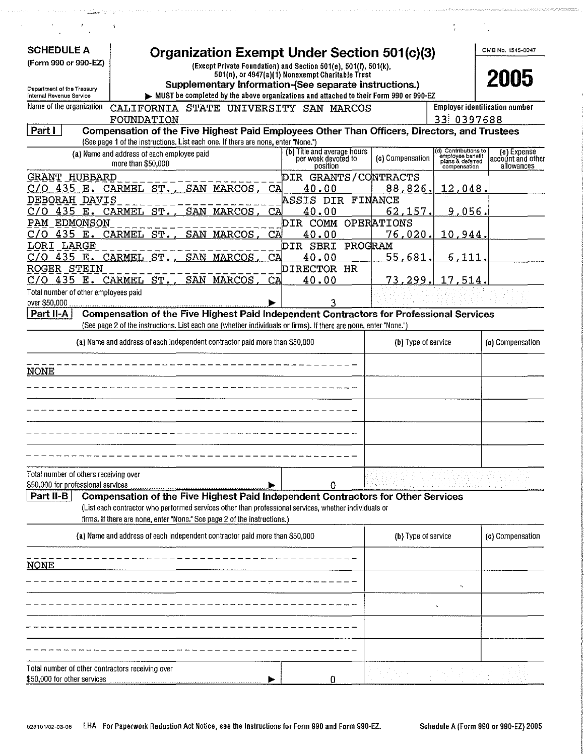|                                                                             | 1                                          |                                                                                   |    |                                                                                                                  |                     |                                                      |                                       |
|-----------------------------------------------------------------------------|--------------------------------------------|-----------------------------------------------------------------------------------|----|------------------------------------------------------------------------------------------------------------------|---------------------|------------------------------------------------------|---------------------------------------|
| <b>SCHEDULE A</b><br>(Form 990 or 990-EZ)                                   |                                            |                                                                                   |    | Organization Exempt Under Section 501(c)(3)<br>(Except Private Foundation) and Section 501(e), 501(f), 501(k),   |                     |                                                      | OMB No. 1545-0047                     |
|                                                                             |                                            |                                                                                   |    | 501(n), or 4947(a)(1) Nonexempt Charitable Trust<br>Supplementary Information-(See separate instructions.)       |                     |                                                      | 2005                                  |
| Department of the Treasury<br>Internal Revenue Service                      |                                            |                                                                                   |    | MUST be completed by the above organizations and attached to their Form 990 or 990-EZ                            |                     |                                                      |                                       |
| Name of the organization                                                    |                                            |                                                                                   |    | CALIFORNIA STATE UNIVERSITY SAN MARCOS                                                                           |                     |                                                      | <b>Employer identification number</b> |
|                                                                             | FOUNDATION                                 |                                                                                   |    |                                                                                                                  |                     | 33 0397688                                           |                                       |
| Part I                                                                      |                                            | (See page 1 of the instructions. List each one. If there are none, enter "None.") |    | Compensation of the Five Highest Paid Employees Other Than Officers, Directors, and Trustees                     |                     |                                                      |                                       |
|                                                                             | (a) Name and address of each employee paid |                                                                                   |    | (b) Title and average hours                                                                                      |                     | (d) Contributions to                                 | (e) Expense                           |
|                                                                             | more than \$50,000                         |                                                                                   |    | per week devoted to<br>position                                                                                  | (c) Compensation    | employee benefit<br>plans & deferred<br>compensation | account and other<br>allowances       |
| GRANT HUBBARD                                                               |                                            |                                                                                   |    | DIR GRANTS/CONTRACTS                                                                                             |                     |                                                      |                                       |
| 435 E.<br>C70                                                               | CARMEL ST.                                 | SAN MARCOS.                                                                       | CA | 40.00                                                                                                            | 88,826.             | 12,048.                                              |                                       |
| DEBORAH DAVIS                                                               |                                            |                                                                                   |    | <b>ASSIS DIR FINANCE</b>                                                                                         |                     |                                                      |                                       |
| 435 E.<br>C70                                                               | CARMEL ST.                                 | SAN<br>MARCOS.                                                                    | CА | 40.00                                                                                                            | 62,157.             | 9,056.                                               |                                       |
| PAM<br>EDMONSON                                                             |                                            |                                                                                   |    | DIR COMM OPERATIONS                                                                                              |                     |                                                      |                                       |
| 435 E.                                                                      | CARMEL ST.,                                | SAN MARCOS.                                                                       | CA | 40.00                                                                                                            | 76,020.             | 10,944.                                              |                                       |
| LORI LARGE                                                                  |                                            |                                                                                   |    | DIR SBRI PROGRAM                                                                                                 |                     |                                                      |                                       |
| 435 E.<br>O                                                                 | CARMEL<br>ST.                              | SAN MARCOS.                                                                       | CA | 40.00                                                                                                            | 55,681.             | 6.111.                                               |                                       |
| ROGER STEIN<br>C/O                                                          | 435 E. CARMEL ST.                          | SAN MARCOS,                                                                       | СA | DIRECTOR HR<br>40.00                                                                                             | 73,299.             | 17,514.                                              |                                       |
| Total number of other employees paid                                        |                                            |                                                                                   |    |                                                                                                                  |                     |                                                      |                                       |
| over \$50,000                                                               |                                            |                                                                                   |    |                                                                                                                  |                     |                                                      |                                       |
| Part II-A                                                                   |                                            |                                                                                   |    | <b>Compensation of the Five Highest Paid Independent Contractors for Professional Services</b>                   |                     |                                                      |                                       |
|                                                                             |                                            |                                                                                   |    | (See page 2 of the instructions. List each one (whether individuals or firms). If there are none, enter "None.") |                     |                                                      |                                       |
|                                                                             |                                            | (a) Name and address of each independent contractor paid more than \$50,000       |    |                                                                                                                  | (b) Type of service |                                                      | (c) Compensation                      |
|                                                                             |                                            |                                                                                   |    |                                                                                                                  |                     |                                                      |                                       |
| <b>NONE</b>                                                                 |                                            |                                                                                   |    |                                                                                                                  |                     |                                                      |                                       |
|                                                                             |                                            |                                                                                   |    |                                                                                                                  |                     |                                                      |                                       |
|                                                                             |                                            |                                                                                   |    |                                                                                                                  |                     |                                                      |                                       |
|                                                                             |                                            |                                                                                   |    |                                                                                                                  |                     |                                                      |                                       |
|                                                                             |                                            |                                                                                   |    |                                                                                                                  |                     |                                                      |                                       |
|                                                                             |                                            |                                                                                   |    |                                                                                                                  |                     |                                                      |                                       |
|                                                                             |                                            |                                                                                   |    |                                                                                                                  |                     |                                                      |                                       |
|                                                                             |                                            |                                                                                   |    |                                                                                                                  |                     |                                                      |                                       |
| Total number of others receiving over<br>\$50,000 for professional services |                                            |                                                                                   |    |                                                                                                                  |                     |                                                      |                                       |
| Part II-B                                                                   |                                            |                                                                                   |    | Ω<br>Compensation of the Five Highest Paid Independent Contractors for Other Services                            |                     |                                                      |                                       |
|                                                                             |                                            |                                                                                   |    | (List each contractor who performed services other than professional services, whether individuals or            |                     |                                                      |                                       |
|                                                                             |                                            | firms. If there are none, enter "None." See page 2 of the instructions.)          |    |                                                                                                                  |                     |                                                      |                                       |
|                                                                             |                                            | (a) Name and address of each independent contractor paid more than \$50,000       |    |                                                                                                                  | (b) Type of service |                                                      | (c) Compensation                      |
|                                                                             |                                            |                                                                                   |    |                                                                                                                  |                     |                                                      |                                       |
|                                                                             |                                            |                                                                                   |    |                                                                                                                  |                     |                                                      |                                       |
| <b>NONE</b>                                                                 |                                            |                                                                                   |    |                                                                                                                  |                     |                                                      |                                       |
|                                                                             |                                            |                                                                                   |    |                                                                                                                  |                     |                                                      |                                       |
|                                                                             |                                            |                                                                                   |    |                                                                                                                  |                     |                                                      |                                       |
|                                                                             |                                            |                                                                                   |    |                                                                                                                  |                     |                                                      |                                       |
|                                                                             |                                            |                                                                                   |    |                                                                                                                  |                     |                                                      |                                       |
|                                                                             |                                            |                                                                                   |    |                                                                                                                  |                     |                                                      |                                       |
|                                                                             |                                            |                                                                                   |    |                                                                                                                  |                     |                                                      |                                       |
|                                                                             |                                            |                                                                                   |    |                                                                                                                  |                     |                                                      |                                       |
| Total number of other contractors receiving over                            |                                            |                                                                                   |    |                                                                                                                  |                     |                                                      |                                       |
| \$50,000 for other services                                                 |                                            |                                                                                   |    |                                                                                                                  |                     |                                                      |                                       |

.<br>1916 - La Caractería de la Caractería de la Caractería de la Caractería de la Caractería de Alexandre de Mari

 $\ddot{\phantom{a}}$ 

.<br>In the state of the state of the state of the state of the state of the state of the state of the state of the

a program se se servizione del constance e con el construir del con

 $\sim$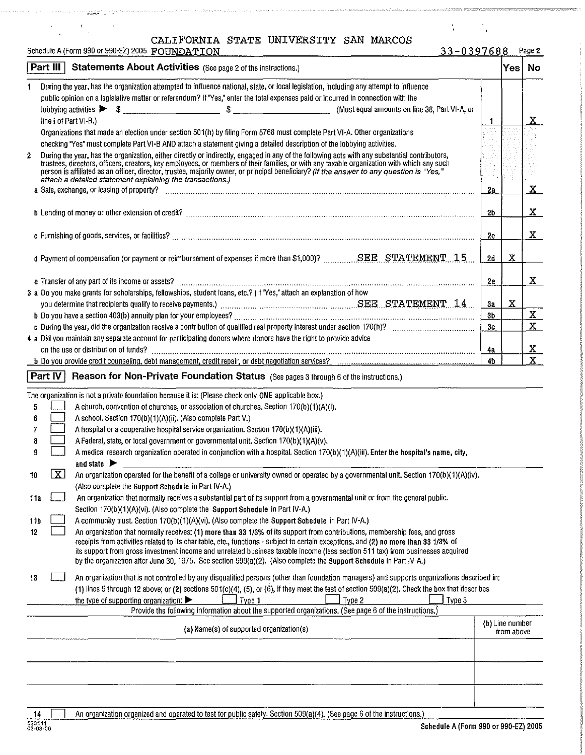| CALIFORNIA STATE UNIVERSITY SAN MARCOS |  |  |  |  |
|----------------------------------------|--|--|--|--|
|----------------------------------------|--|--|--|--|

Schedule A (Form 990 or 990-EZ) 2005 FOUNDATION 33-0397688 Page 2

 $\mathcal{A}_\text{c}$  and  $\mathcal{A}_\text{c}$ 

|     | Part III<br><b>Statements About Activities</b> (See page 2 of the instructions.)                                                                                                                                                                                                                                                                                                                                                                                                                                            |                | Yes                           | No           |
|-----|-----------------------------------------------------------------------------------------------------------------------------------------------------------------------------------------------------------------------------------------------------------------------------------------------------------------------------------------------------------------------------------------------------------------------------------------------------------------------------------------------------------------------------|----------------|-------------------------------|--------------|
| 1   | During the year, has the organization attempted to influence national, state, or local legislation, including any attempt to influence<br>public opinion on a legislative matter or referendum? If "Yes," enter the total expenses paid or incurred in connection with the<br>$\left  \text{obbying activities} \right  \triangleright \quad \text{\$} \underbrace{\qquad \qquad }$                                                                                                                                         |                |                               |              |
|     | line i of Part VI-B.)                                                                                                                                                                                                                                                                                                                                                                                                                                                                                                       |                |                               | X.           |
|     | Organizations that made an election under section 501(h) by filing Form 5768 must complete Part VI-A. Other organizations                                                                                                                                                                                                                                                                                                                                                                                                   |                |                               |              |
|     | checking "Yes" must complete Part VI-B AND attach a statement giving a detailed description of the lobbying activities.                                                                                                                                                                                                                                                                                                                                                                                                     |                |                               |              |
| 2   | During the year, has the organization, either directly or indirectly, engaged in any of the following acts with any substantial contributors,<br>trustees, directors, officers, creators, key employees, or members of their families, or with any taxable organization with which any such<br>person is affiliated as an officer, director, trustee, majority owner, or principal beneficiary? (If the answer to any question is "Yes,"<br>attach a detailed statement explaining the transactions.)                       | 2a             |                               | $\mathbf x$  |
|     |                                                                                                                                                                                                                                                                                                                                                                                                                                                                                                                             | 2b             |                               | X.           |
|     |                                                                                                                                                                                                                                                                                                                                                                                                                                                                                                                             |                |                               |              |
|     |                                                                                                                                                                                                                                                                                                                                                                                                                                                                                                                             | 2c             |                               | X.           |
|     | d Payment of compensation (or payment or reimbursement of expenses if more than \$1,000)? SEE STATEMENT1.5                                                                                                                                                                                                                                                                                                                                                                                                                  | 2d             | X                             |              |
|     |                                                                                                                                                                                                                                                                                                                                                                                                                                                                                                                             | 2e             |                               | $\mathbf{X}$ |
|     | 3 a Do you make grants for scholarships, fellowships, student loans, etc.? (If "Yes," attach an explanation of how                                                                                                                                                                                                                                                                                                                                                                                                          |                |                               |              |
|     | you determine that recipients qualify to receive payments.) Masses Masses Masses Masses Masses STATEMENT 14                                                                                                                                                                                                                                                                                                                                                                                                                 | 3a             | X                             |              |
|     |                                                                                                                                                                                                                                                                                                                                                                                                                                                                                                                             | 3 <sub>b</sub> |                               | $\mathbf{x}$ |
|     |                                                                                                                                                                                                                                                                                                                                                                                                                                                                                                                             | 3c             |                               | $\mathbf{x}$ |
|     | 4 a Did you maintain any separate account for participating donors where donors have the right to provide advice                                                                                                                                                                                                                                                                                                                                                                                                            |                |                               |              |
|     |                                                                                                                                                                                                                                                                                                                                                                                                                                                                                                                             | 4а             |                               | <u>x</u>     |
|     |                                                                                                                                                                                                                                                                                                                                                                                                                                                                                                                             | 4b             |                               | $\mathbf{x}$ |
|     | Part IV<br>Reason for Non-Private Foundation Status (See pages 3 through 6 of the instructions.)                                                                                                                                                                                                                                                                                                                                                                                                                            |                |                               |              |
|     | The organization is not a private foundation because it is: (Please check only ONE applicable box.)                                                                                                                                                                                                                                                                                                                                                                                                                         |                |                               |              |
| 5   | A church, convention of churches, or association of churches. Section 170(b)(1)(A)(i).                                                                                                                                                                                                                                                                                                                                                                                                                                      |                |                               |              |
| 6   | A school. Section 170(b)(1)(A)(ii). (Also complete Part V.)                                                                                                                                                                                                                                                                                                                                                                                                                                                                 |                |                               |              |
| 7   | A hospital or a cooperative hospital service organization. Section 170(b)(1)(A)(iii).                                                                                                                                                                                                                                                                                                                                                                                                                                       |                |                               |              |
|     | A Federal, state, or local government or governmental unit. Section 170(b)(1)(A)(v).<br>8                                                                                                                                                                                                                                                                                                                                                                                                                                   |                |                               |              |
| 9   | A medical research organization operated in conjunction with a hospital. Section 170(b)(1)(A)(iii). Enter the hospital's name, city,<br>and state $\blacktriangleright$                                                                                                                                                                                                                                                                                                                                                     |                |                               |              |
| 10  | X <br>An organization operated for the benefit of a college or university owned or operated by a governmental unit. Section 170(b)(1)(A)(iv).<br>(Also complete the Support Schedule in Part IV-A.)                                                                                                                                                                                                                                                                                                                         |                |                               |              |
| 11a | An organization that normally receives a substantial part of its support from a governmental unit or from the general public.                                                                                                                                                                                                                                                                                                                                                                                               |                |                               |              |
|     | Section 170(b)(1)(A)(vi). (Also complete the Support Schedule in Part IV-A.)                                                                                                                                                                                                                                                                                                                                                                                                                                                |                |                               |              |
| 11b | A community trust. Section 170(b)(1)(A)(vi). (Also complete the Support Schedule in Part IV-A.)                                                                                                                                                                                                                                                                                                                                                                                                                             |                |                               |              |
| 12  | An organization that normally receives: (1) more than 33 1/3% of its support from contributions, membership fees, and gross<br>receipts from activities related to its charitable, etc., functions - subject to certain exceptions, and (2) no more than 33 1/3% of<br>its support from gross investment income and unrelated business taxable income (less section 511 tax) from businesses acquired<br>by the organization after June 30, 1975. See section 509(a)(2). (Also complete the Support Schedule in Part IV-A.) |                |                               |              |
| 13  | An organization that is not controlled by any disqualified persons (other than foundation managers) and supports organizations described in:<br>(1) lines 5 through 12 above; or (2) sections 501(c)(4), (5), or (6), if they meet the test of section 509(a)(2). Check the box that describes                                                                                                                                                                                                                              |                |                               |              |
|     | the type of supporting organization: $\blacktriangleright$<br>Type 1<br>Type 2<br>Type 3<br>Provide the following information about the supported organizations. (See page 6 of the instructions.)                                                                                                                                                                                                                                                                                                                          |                |                               |              |
|     | (a) Name(s) of supported organization(s)                                                                                                                                                                                                                                                                                                                                                                                                                                                                                    |                | (b) Line number<br>from above |              |
|     |                                                                                                                                                                                                                                                                                                                                                                                                                                                                                                                             |                |                               |              |
|     |                                                                                                                                                                                                                                                                                                                                                                                                                                                                                                                             |                |                               |              |

 $\label{eq:2} \begin{array}{ll} \mathcal{F}_{\text{max}}(t) = \mathcal{F}_{\text{max}}(t) = 0, \end{array}$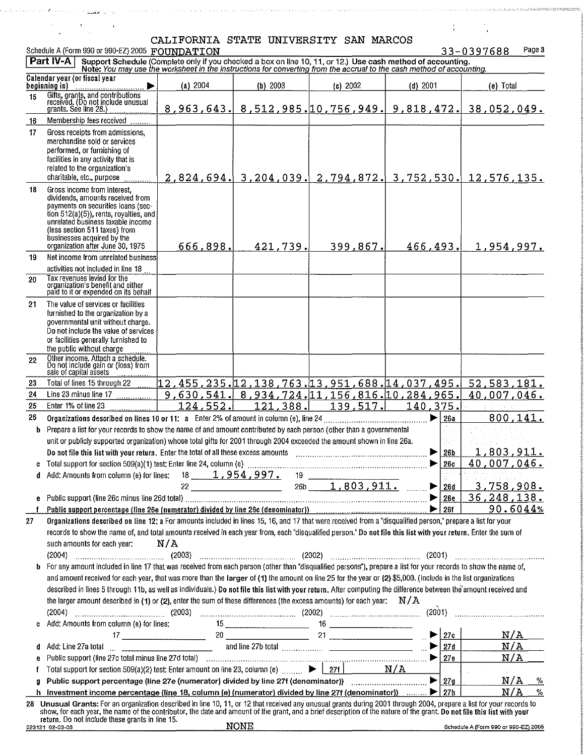$\sim 10$ 

 $\label{eq:2.1} \frac{1}{\sqrt{2\pi}}\int_{-\infty}^{\infty}\frac{1}{\sqrt{2\pi}}\left(\frac{1}{\sqrt{2\pi}}\right)^{2\pi}d\theta.$ 

.<br>1960 - Januari Laurenten, mendekan terdapat di terdapat dan berjadi di terdapat dan menjadi di terdapat di ter

 $\mathcal{A}=\mathcal{A}$ 

|         | Schedule A (Form 990 or 990-EZ) 2005 FOUNDATION                                                                                                                                                                                                                                                                                                                                                                                                                                                                                                                                                                                  |                                              |             |                                            |                                                           | Page 3<br>33-0397688                                                   |
|---------|----------------------------------------------------------------------------------------------------------------------------------------------------------------------------------------------------------------------------------------------------------------------------------------------------------------------------------------------------------------------------------------------------------------------------------------------------------------------------------------------------------------------------------------------------------------------------------------------------------------------------------|----------------------------------------------|-------------|--------------------------------------------|-----------------------------------------------------------|------------------------------------------------------------------------|
|         | <b>Part IV-A</b><br>Support Schedule (Complete only if you checked a box on line 10, 11, or 12.) Use cash method of accounting.<br>Note: You may use the worksheet in the instructions for converting from the accrual to the cash method of accounti                                                                                                                                                                                                                                                                                                                                                                            |                                              |             |                                            |                                                           |                                                                        |
|         | Calendar year (or fiscal year<br>beginning in)                                                                                                                                                                                                                                                                                                                                                                                                                                                                                                                                                                                   | (a) 2004                                     | (b) 2003    | (c) 2002                                   | $(d)$ 2001                                                | (e) Total                                                              |
| 15      | Gifts, grants, and contributions<br>received. (Do not include unusual<br>grants. See line 28.)                                                                                                                                                                                                                                                                                                                                                                                                                                                                                                                                   |                                              |             |                                            |                                                           | <u>8,963,643, 8,512,985, 10,756,949, 9,818,472, 38,052,049.</u>        |
| 16      | Membership fees received                                                                                                                                                                                                                                                                                                                                                                                                                                                                                                                                                                                                         |                                              |             |                                            |                                                           |                                                                        |
| 17      | Gross receipts from admissions,<br>merchandise sold or services<br>performed, or furnishing of<br>facilities in any activity that is<br>related to the organization's<br>charitable, etc., purpose                                                                                                                                                                                                                                                                                                                                                                                                                               |                                              |             |                                            |                                                           | $2,824,694$ , $3,204,039$ , $2,794,872$ , $3,752,530$ , $12,576,135$ . |
| 18      | Gross income from interest.<br>dividends, amounts received from<br>payments on securities loans (sec-<br>tion $512(a)(5)$ , rents, royalties, and<br>unrelated business taxable income<br>(less section 511 taxes) from<br>businesses acquired by the<br>organization after June 30, 1975                                                                                                                                                                                                                                                                                                                                        | 666,898.                                     | 421,739.    | 399,867.                                   | 466,493.                                                  | 1,954,997.                                                             |
| 19      | Net income from unrelated business                                                                                                                                                                                                                                                                                                                                                                                                                                                                                                                                                                                               |                                              |             |                                            |                                                           |                                                                        |
| 20      | activities not included in line 18<br>Tax revenues levied for the<br>organization's benefit and either<br>paid to it or expended on its behalf                                                                                                                                                                                                                                                                                                                                                                                                                                                                                   |                                              |             |                                            |                                                           |                                                                        |
| 21      | The value of services or facilities<br>furnished to the organization by a<br>governmental unit without charge.<br>Do not include the value of services<br>or facilities generally furnished to<br>the public without charge                                                                                                                                                                                                                                                                                                                                                                                                      |                                              |             |                                            |                                                           |                                                                        |
| 22      | Other income. Attach a schedule.<br>Do not include gain or (loss) from<br>sale of capital assets                                                                                                                                                                                                                                                                                                                                                                                                                                                                                                                                 |                                              |             |                                            |                                                           |                                                                        |
| 23      | Total of lines 15 through 22                                                                                                                                                                                                                                                                                                                                                                                                                                                                                                                                                                                                     | 12,455,235.12,138,763.13,951,688.14,037,495. |             |                                            |                                                           | 52,583,181.                                                            |
| 24      | Line 23 minus line 17                                                                                                                                                                                                                                                                                                                                                                                                                                                                                                                                                                                                            |                                              |             |                                            | 9,630,541. 8,934,724. 11,156,816. 10,284,965.             | 40,007,046.                                                            |
| 25      | Enter 1% of line 23                                                                                                                                                                                                                                                                                                                                                                                                                                                                                                                                                                                                              | 124,552.                                     | 121,388.    | 139,517.                                   | 140,375.                                                  | 800,141.                                                               |
| 26<br>b | Prepare a list for your records to show the name of and amount contributed by each person (other than a governmental                                                                                                                                                                                                                                                                                                                                                                                                                                                                                                             |                                              |             |                                            | ▶<br><b>26a</b>                                           |                                                                        |
|         | unit or publicly supported organization) whose total gifts for 2001 through 2004 exceeded the amount shown in line 26a.                                                                                                                                                                                                                                                                                                                                                                                                                                                                                                          |                                              |             |                                            |                                                           |                                                                        |
|         | Do not file this list with your return. Enter the total of all these excess amounts                                                                                                                                                                                                                                                                                                                                                                                                                                                                                                                                              |                                              |             |                                            | ▶<br>26 <sub>b</sub>                                      | 1,803,911.                                                             |
|         |                                                                                                                                                                                                                                                                                                                                                                                                                                                                                                                                                                                                                                  |                                              |             |                                            | ▶<br><b>26c</b>                                           | 40,007,046.                                                            |
|         |                                                                                                                                                                                                                                                                                                                                                                                                                                                                                                                                                                                                                                  |                                              |             | $19 \begin{array}{ccc} \hline \end{array}$ |                                                           |                                                                        |
|         |                                                                                                                                                                                                                                                                                                                                                                                                                                                                                                                                                                                                                                  |                                              | 26b         | $1,803,911$ .                              | 26d                                                       | <u>3,758,908.</u><br>36, 248, 138.                                     |
|         | Public support percentage (line 26e (numerator) divided by line 26c (denominator)) [10] [266] [266] [266] [266                                                                                                                                                                                                                                                                                                                                                                                                                                                                                                                   |                                              |             |                                            | 26e                                                       | 90.6044%                                                               |
| 27      | Organizations described on line 12: a For amounts included in lines 15, 16, and 17 that were received from a "disqualified person," prepare a list for your                                                                                                                                                                                                                                                                                                                                                                                                                                                                      |                                              |             |                                            |                                                           |                                                                        |
|         | records to show the name of, and total amounts received in each year from, each "disqualified person." Do not file this list with your return. Enter the sum of<br>such amounts for each year:                                                                                                                                                                                                                                                                                                                                                                                                                                   | N/A                                          |             |                                            |                                                           |                                                                        |
| b       | For any amount included in line 17 that was received from each person (other than "disqualified persons"), prepare a list for your records to show the name of,<br>and amount received for each year, that was more than the larger of (1) the amount on line 25 for the year or (2) \$5,000. (Include in the list organizations<br>described in lines 5 through 11b, as well as individuals.) Do not file this list with your return. After computing the difference between the amount received and<br>the larger amount described in (1) or (2), enter the sum of these differences (the excess amounts) for each year: $N/A$ |                                              |             |                                            |                                                           |                                                                        |
|         |                                                                                                                                                                                                                                                                                                                                                                                                                                                                                                                                                                                                                                  |                                              |             |                                            |                                                           |                                                                        |
| c       | Add: Amounts from column (e) for lines:<br>$15$<br>$20$<br>$21$<br>$21$                                                                                                                                                                                                                                                                                                                                                                                                                                                                                                                                                          |                                              |             |                                            |                                                           |                                                                        |
| d       | Add: Line 27a total                                                                                                                                                                                                                                                                                                                                                                                                                                                                                                                                                                                                              |                                              |             |                                            | 27c<br>27d                                                | $N/A$ $-$<br>N/A                                                       |
| e       |                                                                                                                                                                                                                                                                                                                                                                                                                                                                                                                                                                                                                                  |                                              |             |                                            |                                                           | N/A                                                                    |
|         | Total support for section 509(a)(2) test: Enter amount on line 23, column (e) $\ldots$ , $\blacktriangleright$ 27f $\mid$ 27f $\mid$ $\ldots$ $\blacktriangleright$ $\mid$ $\land$ $\land$                                                                                                                                                                                                                                                                                                                                                                                                                                       |                                              |             |                                            |                                                           | ta si                                                                  |
|         | Public support percentage (line 27e (numerator) divided by line 27f (denominator)) manufaction (manufaction of                                                                                                                                                                                                                                                                                                                                                                                                                                                                                                                   |                                              |             |                                            | $\blacktriangleright$<br>$\left\lfloor 27g \right\rfloor$ | N/A<br>%                                                               |
|         | h Investment income percentage (line 18, column (e) (numerator) divided by line 27f (denominator)) $\ldots$                                                                                                                                                                                                                                                                                                                                                                                                                                                                                                                      |                                              |             |                                            |                                                           | N/A<br>%                                                               |
|         | 28 Unusual Grants: For an organization described in line 10, 11, or 12 that received any unusual grants during 2001 through 2004, prepare a list for your records to show, for each year, the name of the contributor, the dat<br>return. Do not include these grants in line 15.                                                                                                                                                                                                                                                                                                                                                |                                              |             |                                            |                                                           |                                                                        |
|         | 523121 02-03-06                                                                                                                                                                                                                                                                                                                                                                                                                                                                                                                                                                                                                  |                                              | <b>NONE</b> |                                            |                                                           | Schedule A (Form 990 or 990-EZ) 2005                                   |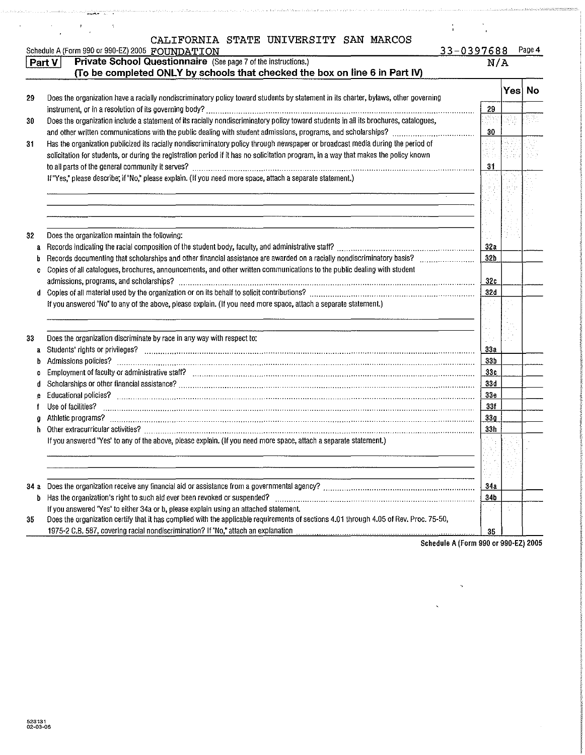|      | CALIFORNIA STATE UNIVERSITY SAN MARCOS<br>Schedule A (Form 990 or 990-EZ) 2005 FOUNDATION                                                                                                                                                                               | $33 - 0397688$         |       | Page 4  |
|------|-------------------------------------------------------------------------------------------------------------------------------------------------------------------------------------------------------------------------------------------------------------------------|------------------------|-------|---------|
|      | Private School Questionnaire (See page 7 of the instructions.)<br>Part V                                                                                                                                                                                                | N/A                    |       |         |
|      | (To be completed ONLY by schools that checked the box on line 6 in Part IV)                                                                                                                                                                                             |                        |       |         |
| 29   | Does the organization have a racially nondiscriminatory policy toward students by statement in its charter, bylaws, other governing                                                                                                                                     |                        |       | Yes) No |
|      |                                                                                                                                                                                                                                                                         | 29                     |       |         |
| 30   | Does the organization include a statement of its racially nondiscriminatory policy toward students in all its brochures, catalogues,                                                                                                                                    |                        |       |         |
|      |                                                                                                                                                                                                                                                                         | 30 <sup>°</sup>        |       |         |
| 31   | Has the organization publicized its racially nondiscriminatory policy through newspaper or broadcast media during the period of<br>solicitation for students, or during the registration period if it has no solicitation program, in a way that makes the policy known | 31                     |       |         |
|      | If "Yes," please describe; if "No," please explain. (If you need more space, attach a separate statement.)                                                                                                                                                              |                        |       |         |
|      |                                                                                                                                                                                                                                                                         |                        |       |         |
|      |                                                                                                                                                                                                                                                                         |                        |       |         |
|      |                                                                                                                                                                                                                                                                         |                        |       |         |
|      |                                                                                                                                                                                                                                                                         |                        |       |         |
| 32   | Does the organization maintain the following:                                                                                                                                                                                                                           |                        |       |         |
| a    |                                                                                                                                                                                                                                                                         | 32a                    |       |         |
| b    | Records documenting that scholarships and other financial assistance are awarded on a racially nondiscriminatory basis?                                                                                                                                                 | 32 <sub>b</sub>        |       |         |
| c    | Copies of all catalogues, brochures, announcements, and other written communications to the public dealing with student                                                                                                                                                 | 32c                    |       |         |
| d    |                                                                                                                                                                                                                                                                         | 32d                    |       |         |
|      | If you answered "No" to any of the above, please explain. (If you need more space, attach a separate statement.)                                                                                                                                                        |                        |       |         |
|      |                                                                                                                                                                                                                                                                         |                        |       |         |
| 33   | Does the organization discriminate by race in any way with respect to:                                                                                                                                                                                                  |                        |       |         |
| a    | Students' rights or privileges? www.communication.com/www.com/www.com/www.com/www.com/www.com/www.com/www.com/                                                                                                                                                          | 33a<br>33 <sub>b</sub> |       |         |
| b    |                                                                                                                                                                                                                                                                         | 33c                    |       |         |
|      |                                                                                                                                                                                                                                                                         | 33d                    |       |         |
|      | Educational policies? informational continuum continuum continuum continuum continuum continuum continuum continuum                                                                                                                                                     | 33 <sub>e</sub>        |       |         |
|      | Use of facilities?                                                                                                                                                                                                                                                      | 33f                    |       |         |
| a    | Athletic programs? <b>With the Contract of Construction of the Construction of the Construction of the Construction</b>                                                                                                                                                 | 33g                    |       |         |
| ħ    |                                                                                                                                                                                                                                                                         | 33h                    |       |         |
|      | If you answered "Yes" to any of the above, please explain. (If you need more space, attach a separate statement.)                                                                                                                                                       |                        |       |         |
|      |                                                                                                                                                                                                                                                                         |                        |       |         |
|      |                                                                                                                                                                                                                                                                         |                        |       |         |
|      |                                                                                                                                                                                                                                                                         |                        |       |         |
| 34 а |                                                                                                                                                                                                                                                                         | 34a                    |       |         |
| b    |                                                                                                                                                                                                                                                                         | 34 <sub>b</sub>        |       |         |
|      | If you answered "Yes" to either 34a or b, please explain using an attached statement.                                                                                                                                                                                   |                        | и1 () |         |
| 35   | Does the organization certify that it has complied with the applicable requirements of sections 4.01 through 4.05 of Rev. Proc. 75-50,<br>1975-2 C.B. 587, covering racial nondiscrimination? If "No," attach an explanation                                            | 35                     |       |         |

adalaannan maraxsan oo coortoo ay iya waxaa ahaa iyaan la dalka xirka xaala la waxaa ah xaala caa ah xaal waxay

Schedule A (Form 990 or 990-EZ) 2005

 $\hat{\boldsymbol{\gamma}}$ 

 $\ddot{\phantom{1}}$ 

.<br>Septemb

gawa

harmatika

ىر دىنىڭ ئاراتقا قارىتىدىغا قارىقىنىڭ ئاراتقا ئاستان ئاھلىق ئاراتىن ئارات ئارات ئاسىنى قارىرا بىرى ئارات ئارات<br>ئارادىنىڭ ئاراتقا قارىلىقى ئاراتىلىقى ئاراتىنى ئاراتىلىشى ئاراتىلىقى ئاراتىلىقى ئاراتىلىق ئاراتىلىقى ئاراتىلىق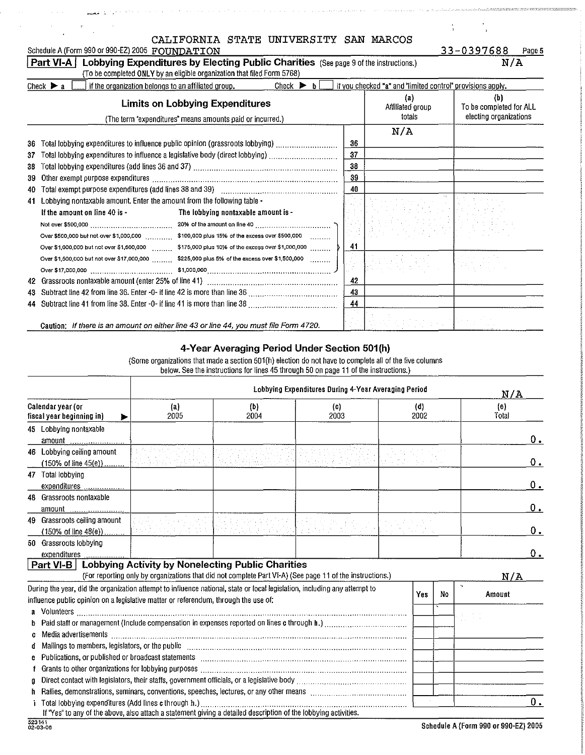|     | CALIFORNIA STATE UNIVERSITY SAN MARCOS                                                                           |    |                                                            |                                |
|-----|------------------------------------------------------------------------------------------------------------------|----|------------------------------------------------------------|--------------------------------|
|     | Schedule A (Form 990 or 990-EZ) 2005 FOUNDATION                                                                  |    |                                                            | 33-0397688<br>Page 5           |
|     | Lobbying Expenditures by Electing Public Charities (See page 9 of the instructions.)<br>Part VI-A                |    |                                                            | N/A                            |
|     | (To be completed ONLY by an eligible organization that filed Form 5768)                                          |    |                                                            |                                |
|     | Check $\blacktriangleright$ b<br>if the organization belongs to an affiliated group.<br>Check $\triangleright$ a |    | if you checked "a" and "limited control" provisions apply. |                                |
|     | <b>Limits on Lobbying Expenditures</b>                                                                           |    | $\left( a\right)$<br>Affiliated group                      | (b)<br>To be completed for ALL |
|     | (The term "expenditures" means amounts paid or incurred.)                                                        |    | totals                                                     | electing organizations         |
|     |                                                                                                                  |    | N/A                                                        |                                |
| 36  | Total lobbying expenditures to influence public opinion (grassroots lobbying) ………………………                          | 36 |                                                            |                                |
| 37  | Total lobbying expenditures to influence a legislative body (direct lobbying) with accommunitative o             | 37 |                                                            |                                |
| 38  |                                                                                                                  | 38 |                                                            |                                |
| 39  |                                                                                                                  | 39 |                                                            |                                |
| 40  |                                                                                                                  | 40 |                                                            |                                |
| 41  | Lobbying nontaxable amount. Enter the amount from the following table -                                          |    |                                                            |                                |
|     | If the amount on line 40 is -<br>The lobbying nontaxable amount is -                                             |    |                                                            |                                |
|     |                                                                                                                  |    |                                                            |                                |
|     | Over \$500,000 but not over \$1,000,000 \$100,000 plus 15% of the excess over \$500,000                          |    |                                                            |                                |
|     | Over \$1,000,000 but not over \$1,500,000 _________ \$175,000 plus 10% of the excess over \$1,000,000 _______    | 41 |                                                            |                                |
|     | Over \$1,500,000 but not over \$17,000,000  \$225,000 plus 5% of the excess over \$1,500,000                     |    |                                                            |                                |
|     |                                                                                                                  |    |                                                            |                                |
| 42  |                                                                                                                  | 42 |                                                            |                                |
| 43. |                                                                                                                  | 43 |                                                            |                                |
| 44  |                                                                                                                  | 44 |                                                            |                                |
|     |                                                                                                                  |    |                                                            |                                |

### 4-Year Averaging Period Under Section 501(h)

Caution: If there is an amount on either line 43 or line 44, you must file Form 4720.

(Some organizations that made a section 501(h) election do not have to complete all of the five columns below See the instructions for lines 45 through 50 on page 11 of the instructions )

|                                                                                                                                                                                                                                |                                                                                                          |                    | N/A                |             |    |              |
|--------------------------------------------------------------------------------------------------------------------------------------------------------------------------------------------------------------------------------|----------------------------------------------------------------------------------------------------------|--------------------|--------------------|-------------|----|--------------|
| Calendar year (or<br>fiscal year beginning in)                                                                                                                                                                                 | $\left( a\right)$<br>2005                                                                                | (b)<br>2004        | (c)<br>2003        | (d)<br>2002 |    | (e)<br>Total |
| 45 Lobbying nontaxable                                                                                                                                                                                                         |                                                                                                          |                    |                    |             |    | $0$ .        |
| 46 Lobbying ceiling amount<br>(150% of line 45(e)) $\ldots$ . The constraint is the constant of $\mathbb{R}^n$                                                                                                                 |                                                                                                          | et Bibliother Port | 우리 오늘 나는 그 일이 잘 쓰게 |             |    | 0.           |
| 47 Total lobbying<br>expenditures                                                                                                                                                                                              |                                                                                                          |                    |                    |             |    | 0.           |
| 48 Grassroots nontaxable                                                                                                                                                                                                       |                                                                                                          |                    |                    |             |    | Ο.           |
| Grassroots ceiling amount<br>49                                                                                                                                                                                                | والمناول والمناور والمتناول وأوراق                                                                       |                    |                    |             |    | $0$ .        |
| 50 Grassroots lobbying<br>expenditures                                                                                                                                                                                         |                                                                                                          |                    |                    |             |    | 0.           |
| Part VI-B   Lobbying Activity by Nonelecting Public Charities                                                                                                                                                                  | (For reporting only by organizations that did not complete Part VI-A) (See page 11 of the instructions.) |                    |                    |             |    | N/A          |
| During the year, did the organization attempt to influence national, state or local legislation, including any attempt to<br>influence public opinion on a legislative matter or referendum, through the use of:               |                                                                                                          |                    |                    | Yes         | No | Amount       |
| G.                                                                                                                                                                                                                             |                                                                                                          |                    |                    |             |    |              |
| Mailings to members, legislators, or the public entertainment containment contained to members, legislators, or<br>đ                                                                                                           |                                                                                                          |                    |                    |             |    |              |
| e Publications, or published or broadcast statements [111] [12] matter contract the contract of the contract of the contract of the contract of the contract of the contract of the contract of the contract of the contract o |                                                                                                          |                    |                    |             |    |              |
| a<br>Rallies, demonstrations, seminars, conventions, speeches, lectures, or any other means [[[[[[[[[[[[[[[[[[[[[[[                                                                                                            |                                                                                                          |                    |                    |             |    |              |
| Total lobbying expenditures (Add lines c through h.).<br>If "Yes" to any of the above, also attach a statement giving a detailed description of the lobbying activities.                                                       |                                                                                                          |                    |                    |             |    | $0$ .        |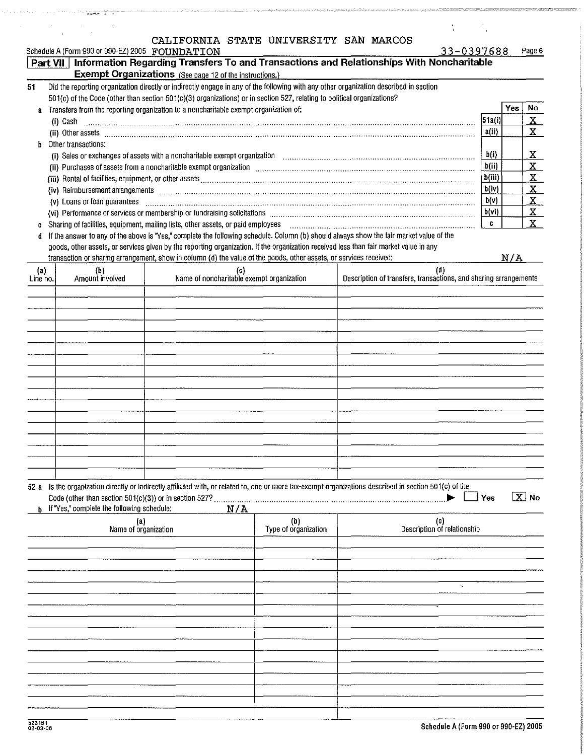|                               | Schedule A (Form 990 or 990-EZ) 2005 FOUNDATION     | CANIFORNIA SIAIB UNIVERSITI SAN MARCOS                                                                                                                                                                  |                      |                                                                                                                                                                                                                                | 33-0397688<br>Page 6               |                         |
|-------------------------------|-----------------------------------------------------|---------------------------------------------------------------------------------------------------------------------------------------------------------------------------------------------------------|----------------------|--------------------------------------------------------------------------------------------------------------------------------------------------------------------------------------------------------------------------------|------------------------------------|-------------------------|
|                               |                                                     |                                                                                                                                                                                                         |                      | Part VII   Information Regarding Transfers To and Transactions and Relationships With Noncharitable                                                                                                                            |                                    |                         |
| 51                            |                                                     | <b>Exempt Organizations</b> (See page 12 of the instructions.)<br>Did the reporting organization directly or indirectly engage in any of the following with any other organization described in section |                      |                                                                                                                                                                                                                                |                                    |                         |
|                               |                                                     | 501(c) of the Code (other than section 501(c)(3) organizations) or in section 527, relating to political organizations?                                                                                 |                      |                                                                                                                                                                                                                                |                                    |                         |
| a                             |                                                     | Transfers from the reporting organization to a noncharitable exempt organization of:                                                                                                                    |                      |                                                                                                                                                                                                                                | No<br>Yes                          |                         |
|                               | (i) Cash                                            |                                                                                                                                                                                                         |                      |                                                                                                                                                                                                                                | 51a(i)                             | $\mathbf{X}_{\perp}$    |
|                               |                                                     |                                                                                                                                                                                                         |                      |                                                                                                                                                                                                                                | $\mathbf{X}$<br>arii)              |                         |
| h                             | Other transactions:                                 |                                                                                                                                                                                                         |                      |                                                                                                                                                                                                                                |                                    |                         |
|                               |                                                     |                                                                                                                                                                                                         |                      | (i) Sales or exchanges of assets with a noncharitable exempt organization [11] Sales or exchanges of assets with a noncharitable exempt organization [11] $\ldots$                                                             | b(i)<br>$\mathbf{x}_-$             |                         |
|                               |                                                     |                                                                                                                                                                                                         |                      |                                                                                                                                                                                                                                | $\mathbf{x}$<br>b(ii)              |                         |
|                               |                                                     |                                                                                                                                                                                                         |                      |                                                                                                                                                                                                                                | $\underline{\mathbf{x}}$<br>b(iii) |                         |
|                               |                                                     |                                                                                                                                                                                                         |                      |                                                                                                                                                                                                                                | b(iv)                              | $\overline{\mathbf{X}}$ |
|                               | (v) Loans or loan guarantees                        |                                                                                                                                                                                                         |                      |                                                                                                                                                                                                                                | b(v)                               | $\overline{\mathbf{X}}$ |
|                               |                                                     |                                                                                                                                                                                                         |                      | (vi) Performance of services or membership or fundraising solicitations [11] manufactures in the content of services or membership or fundraising solicitations [11] manufactures in the content of the content of the content | $\underline{\mathbf{X}}$<br>b(vi)  |                         |
| C                             |                                                     | Sharing of facilities, equipment, mailing lists, other assets, or paid employees                                                                                                                        |                      |                                                                                                                                                                                                                                | $\mathbf{x}$<br>C.                 |                         |
| đ                             |                                                     |                                                                                                                                                                                                         |                      | If the answer to any of the above is "Yes," complete the following schedule. Column (b) should always show the fair market value of the                                                                                        |                                    |                         |
|                               |                                                     | goods, other assets, or services given by the reporting organization. If the organization received less than fair market value in any                                                                   |                      |                                                                                                                                                                                                                                |                                    |                         |
|                               |                                                     | transaction or sharing arrangement, show in column (d) the value of the goods, other assets, or services received:                                                                                      |                      |                                                                                                                                                                                                                                | N/A                                |                         |
| $\left( a\right)$<br>Line no. | (b)<br>Amount involved                              | (c)<br>Name of noncharitable exempt organization                                                                                                                                                        |                      | (d)<br>Description of transfers, transactions, and sharing arrangements                                                                                                                                                        |                                    |                         |
|                               |                                                     |                                                                                                                                                                                                         |                      |                                                                                                                                                                                                                                |                                    |                         |
|                               |                                                     |                                                                                                                                                                                                         |                      |                                                                                                                                                                                                                                |                                    |                         |
|                               |                                                     |                                                                                                                                                                                                         |                      |                                                                                                                                                                                                                                |                                    |                         |
|                               |                                                     |                                                                                                                                                                                                         |                      |                                                                                                                                                                                                                                |                                    |                         |
|                               |                                                     |                                                                                                                                                                                                         |                      |                                                                                                                                                                                                                                |                                    |                         |
|                               |                                                     |                                                                                                                                                                                                         |                      |                                                                                                                                                                                                                                |                                    |                         |
|                               |                                                     |                                                                                                                                                                                                         |                      |                                                                                                                                                                                                                                |                                    |                         |
|                               |                                                     |                                                                                                                                                                                                         |                      |                                                                                                                                                                                                                                |                                    |                         |
|                               |                                                     |                                                                                                                                                                                                         |                      |                                                                                                                                                                                                                                |                                    |                         |
|                               |                                                     |                                                                                                                                                                                                         |                      |                                                                                                                                                                                                                                |                                    |                         |
|                               |                                                     |                                                                                                                                                                                                         |                      |                                                                                                                                                                                                                                |                                    |                         |
|                               |                                                     |                                                                                                                                                                                                         |                      |                                                                                                                                                                                                                                |                                    |                         |
|                               |                                                     |                                                                                                                                                                                                         |                      |                                                                                                                                                                                                                                |                                    |                         |
|                               |                                                     |                                                                                                                                                                                                         |                      |                                                                                                                                                                                                                                |                                    |                         |
|                               |                                                     |                                                                                                                                                                                                         |                      |                                                                                                                                                                                                                                |                                    |                         |
|                               |                                                     |                                                                                                                                                                                                         |                      |                                                                                                                                                                                                                                |                                    |                         |
|                               | <b>b</b> If "Yes," complete the following schedule: | N/A                                                                                                                                                                                                     |                      | 52 a Is the organization directly or indirectly affiliated with, or related to, one or more tax-exempt organizations described in section 501(c) of the                                                                        | $\boxed{X}$ No<br>Yes              |                         |
|                               | (a)                                                 |                                                                                                                                                                                                         | (b)                  | (c)                                                                                                                                                                                                                            |                                    |                         |
|                               | Name of organization                                |                                                                                                                                                                                                         | Type of organization | Description of relationship                                                                                                                                                                                                    |                                    |                         |
|                               |                                                     |                                                                                                                                                                                                         |                      |                                                                                                                                                                                                                                |                                    |                         |
|                               |                                                     |                                                                                                                                                                                                         |                      |                                                                                                                                                                                                                                |                                    |                         |
|                               |                                                     |                                                                                                                                                                                                         |                      |                                                                                                                                                                                                                                |                                    |                         |
|                               |                                                     |                                                                                                                                                                                                         |                      |                                                                                                                                                                                                                                |                                    |                         |
|                               |                                                     |                                                                                                                                                                                                         |                      |                                                                                                                                                                                                                                |                                    |                         |
|                               |                                                     |                                                                                                                                                                                                         |                      |                                                                                                                                                                                                                                |                                    |                         |
|                               |                                                     |                                                                                                                                                                                                         |                      |                                                                                                                                                                                                                                |                                    |                         |
|                               |                                                     |                                                                                                                                                                                                         |                      |                                                                                                                                                                                                                                |                                    |                         |
|                               |                                                     |                                                                                                                                                                                                         |                      |                                                                                                                                                                                                                                |                                    |                         |
|                               |                                                     |                                                                                                                                                                                                         |                      |                                                                                                                                                                                                                                |                                    |                         |
|                               |                                                     |                                                                                                                                                                                                         |                      |                                                                                                                                                                                                                                |                                    |                         |
|                               |                                                     |                                                                                                                                                                                                         |                      |                                                                                                                                                                                                                                |                                    |                         |
|                               |                                                     |                                                                                                                                                                                                         |                      |                                                                                                                                                                                                                                |                                    |                         |
|                               |                                                     |                                                                                                                                                                                                         |                      |                                                                                                                                                                                                                                |                                    |                         |
|                               |                                                     |                                                                                                                                                                                                         |                      |                                                                                                                                                                                                                                |                                    |                         |

 $\frac{1}{2}$  ,  $\frac{1}{2}$  ,  $\frac{1}{2}$  ,  $\frac{1}{2}$ 

المستوسية المعينيين المتعادل المتعادلة المتعادلة المتعادلة المتعادلة المتعادلة المتعادلة

 $\label{eq:2} \frac{d\mathbf{r}}{d\mathbf{r}} = \frac{1}{\sqrt{2\pi}}\frac{1}{\sqrt{2\pi}}\left(\frac{d\mathbf{r}}{d\mathbf{r}}\right)^2.$ 

والمستحلحا والمتحسن

 $\bar{z}$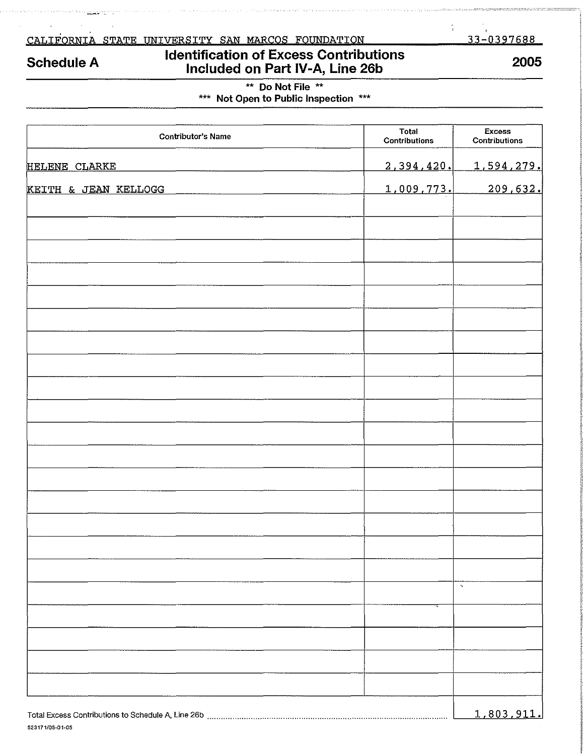<u>CALIFORNIA STATE UNIVERSITY SAN MARCOS FOUNDATION</u>

## Schedule A

## Identification of Excess Contributions Included on Part IV-A, Line 26b

33-0397688

÷

## 2005

\*\* Do Not File \*\* \*\*\* Not Open to Public Inspection \*\*\*

| <b>Contributor's Name</b> | Total<br>Contributions | <b>Excess</b><br>Contributions |
|---------------------------|------------------------|--------------------------------|
| HELENE CLARKE             | 2,394,420.             | <u>1,594,279.</u>              |
| KEITH & JEAN KELLOGG      | 1,009,773.             | 209,632.                       |
|                           |                        |                                |
|                           |                        |                                |
|                           |                        |                                |
|                           |                        |                                |
|                           |                        |                                |
|                           |                        |                                |
|                           |                        |                                |
|                           |                        |                                |
|                           |                        |                                |
|                           |                        |                                |
|                           |                        |                                |
|                           |                        |                                |
|                           |                        |                                |
|                           |                        |                                |
|                           |                        |                                |
|                           |                        |                                |
|                           |                        | $\boldsymbol{\eta}$            |
|                           |                        |                                |
|                           |                        |                                |
|                           |                        |                                |
|                           |                        |                                |
|                           |                        | 1,803,911.                     |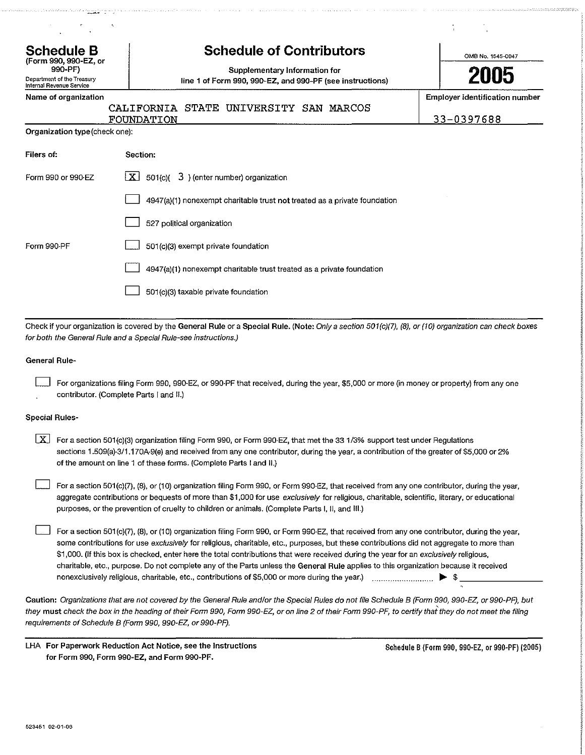| $\bullet$<br>$\bullet$                                            |                                                                                            | $\mathbf{r}$                          |
|-------------------------------------------------------------------|--------------------------------------------------------------------------------------------|---------------------------------------|
| <b>Schedule B</b><br>(Form 990, 990-EZ, or                        | <b>Schedule of Contributors</b>                                                            | OMB No. 1545-0047                     |
| 990-PF)<br>Department of the Treasury<br>Internal Revenue Service | Supplementary Information for<br>line 1 of Form 990, 990-EZ, and 990-PF (see instructions) | 2005                                  |
| Name of organization                                              | CALIFORNIA STATE UNIVERSITY SAN MARCOS                                                     | <b>Employer identification number</b> |
|                                                                   | FOUNDATION                                                                                 | 33-0397688                            |
| Organization type (check one):                                    |                                                                                            |                                       |
| Filers of:                                                        | Section:                                                                                   |                                       |
| Form 990 or 990-EZ                                                | $\lfloor x \rfloor$ 501(c)( 3) (enter number) organization                                 |                                       |
|                                                                   | 4947(a)(1) nonexempt charitable trust not treated as a private foundation                  |                                       |
|                                                                   | 527 political organization                                                                 |                                       |
| Form 990-PF                                                       | 501(c)(3) exempt private foundation                                                        |                                       |
|                                                                   | 4947(a)(1) nonexempt charitable trust treated as a private foundation                      |                                       |
|                                                                   | 501(c)(3) taxable private foundation                                                       |                                       |
|                                                                   |                                                                                            |                                       |

Check if your organization is covered by the General Rule or a Special Rule. (Note: Only a section 501(c)(7), (8), or (10) organization can check boxes for both the General Rule and a Special Rule-see instructions.)

#### General Rule-

 $\Box$  For organizations filing Form 990, 990-EZ, or 990-PF that received, during the year, \$5,000 or more (in money or property) from any one contributor. {Complete Parts I and 11.)

#### Special Rules-

| $\lfloor x \rfloor$ For a section 501(c)(3) organization filing Form 990, or Form 990-EZ, that met the 33 1/3% support test under Regulations |
|-----------------------------------------------------------------------------------------------------------------------------------------------|
| sections 1.509(a)-3/1.170A-9(e) and received from any one contributor, during the year, a contribution of the greater of \$5,000 or 2%        |
| of the amount on line 1 of these forms. (Complete Parts I and II.)                                                                            |

 $\perp$  For a section 501(c)(7), (8), or (10) organization filing Form 990, or Form 990-EZ, that received from any one contributor, during the year, aggregate contributions or bequests of more than \$1,000 for use exclusively for religious, charitable, scientific, literary, or educational purposes, or the prevention of cruelty to children or animals. (Complete Parts I, II, and Ill.)

 $\Box$  For a section 501(c)(7), (8), or (10) organization filing Form 990, or Form 990-EZ, that received from any one contributor, during the year, some contributions for use exclusively for religious, charitable, etc., purposes, but these contributions did not aggregate to more than \$1,000. (If this box is checked, enter here the total contributions that were received during the year for an exclusively religious, charitable, etc., purpose. Do not complete any of the Parts unless the General Rule applies to this organization because it received nonexclusively religious, charitable, etc., contributions of \$5,000 or more during the year.) ........................... ~ \$ \_\_\_\_\_\_\_\_ \_

Caution: Organizations that are not covered by the General Rule and/or the Special Rules do not file Schedule B (Form 990, 990-EZ, or 990-PF), but they must check the box in the heading of their Form 990, Form 990-EZ, or on line 2 of their Form 990-PF, to certify that they do not meet the filing requirements of Schedule B (Form 990, 990-EZ, or 990-PF).

LHA For Paperwork Reduction Act Notice, see the Instructions for Form 990, Form 990-EZ, and Form 990-PF.

Schedule B (Form 990, 99D-EZ, or 990-PF) (2005)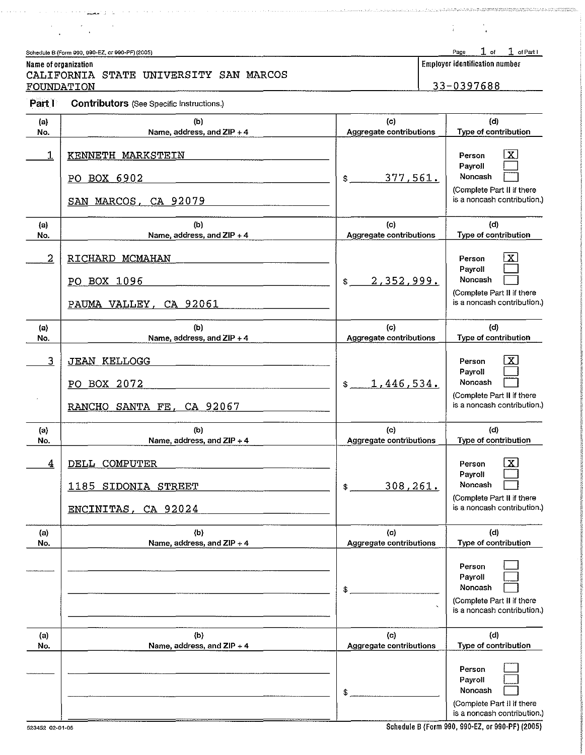| Schedule B (Form 990, 990-EZ, or 990-PF) (2005) |                                       | Page 1 of 1 of Part I |  |
|-------------------------------------------------|---------------------------------------|-----------------------|--|
| Name of organization                            | <b>Employer identification number</b> |                       |  |

### CALIFORNIA STATE UNIVERSITY SAN MARCOS **FOUNDATION**

|  |  | 33-0397688 |  |
|--|--|------------|--|

 $\frac{1}{4}$  and  $\frac{1}{4}$ 

<u>.</u><br>1990 - Jan Linda, mandalar kama kimik kimik menjadi dan bagai dan ke

 $\frac{1}{4}$ 

Part I Contributors (See Specific Instructions.)

 $\alpha$  , and the second state  $\alpha$  $\frac{1}{2} \left( \frac{1}{2} \right)^2 \frac{1}{2} \left( \frac{1}{2} \right)^2$ 

| (a)            | (b)                                                             | (c)                            | (d)                                                                                                                  |
|----------------|-----------------------------------------------------------------|--------------------------------|----------------------------------------------------------------------------------------------------------------------|
| No.            | Name, address, and ZIP + 4                                      | <b>Aggregate contributions</b> | Type of contribution                                                                                                 |
| 1              | KENNETH MARKSTEIN<br>PO BOX 6902<br>SAN MARCOS, CA 92079        | 377,561.<br>\$                 | $\overline{\mathbf{x}}$<br>Person<br>Payroll<br>Noncash<br>(Complete Part II if there<br>is a noncash contribution.) |
| (a)            | (b)                                                             | (c)                            | (d)                                                                                                                  |
| No.            | Name, address, and ZIP + 4                                      | Aggregate contributions        | Type of contribution                                                                                                 |
| $\overline{2}$ | RICHARD MCMAHAN<br>PO BOX 1096<br>PAUMA VALLEY, CA 92061        | 2,352,999.<br>$$^{\circ}$      | $\overline{\mathbf{x}}$<br>Person<br>Payroll<br>Noncash<br>(Complete Part II if there<br>is a noncash contribution.) |
| (a)            | (b)                                                             | (c)                            | (d)                                                                                                                  |
| No.            | Name, address, and ZIP + 4                                      | Aggregate contributions        | Type of contribution                                                                                                 |
| 3              | <b>JEAN KELLOGG</b><br>PO BOX 2072<br>RANCHO SANTA FE, CA 92067 | 1,446,534.<br>$$ -$            | $\overline{\mathbf{X}}$<br>Person<br>Payroll<br>Noncash<br>(Complete Part II if there<br>is a noncash contribution.) |
| (a)            | (b)                                                             | (c)                            | (d)                                                                                                                  |
| No.            | Name, address, and ZIP + 4                                      | Aggregate contributions        | Type of contribution                                                                                                 |
| 4              | DELL COMPUTER<br>1185 SIDONIA STREET<br>ENCINITAS, CA 92024     | 308,261.<br>\$                 | X<br>Person<br>Payroll<br>Noncash<br>(Complete Part II if there<br>is a noncash contribution.)                       |
| (a)            | (b)                                                             | (c)                            | (d)                                                                                                                  |
| No.            | Name, address, and ZIP + 4                                      | Aggregate contributions        | Type of contribution                                                                                                 |
|                |                                                                 | \$                             | Person<br>Payroll<br>Noncash<br>(Complete Part II if there<br>is a noncash contribution.)                            |
| (a)            | (b)                                                             | (c)                            | (d)                                                                                                                  |
| No.            | Name, address, and ZIP + 4                                      | <b>Aggregate contributions</b> | Type of contribution                                                                                                 |
|                |                                                                 | \$.                            | Person<br>Payroll<br>Noncash<br>(Complete Part II if there<br>is a noncash contribution.)                            |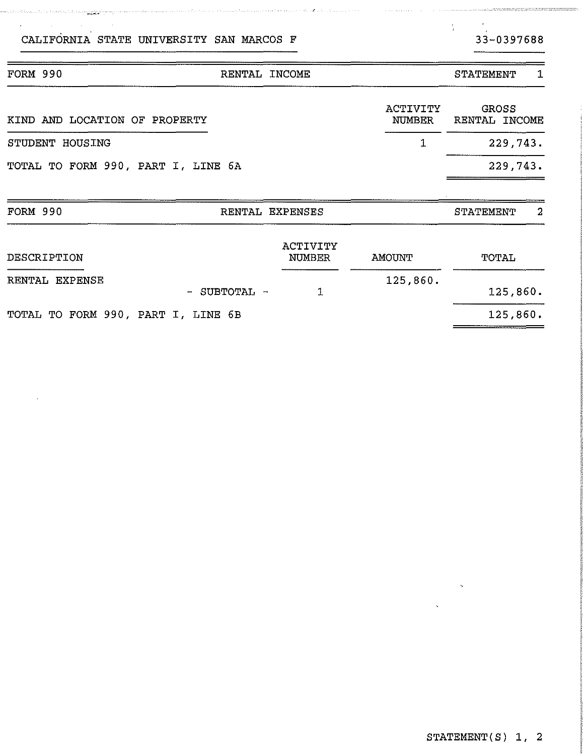| DESCRIPTION                        | ACTIVITY<br>NUMBER | AMOUNT   | TOTAL    |
|------------------------------------|--------------------|----------|----------|
| RENTAL EXPENSE<br>- SUBTOTAL -     |                    | 125,860. | 125,860. |
| TOTAL TO FORM 990, PART I, LINE 6B |                    |          | 125,860. |

| KIND AND LOCATION OF PROPERTY      | ACTIVITY<br>NUMBER     | GROSS<br><b>RENTAL INCOME</b> |
|------------------------------------|------------------------|-------------------------------|
| STUDENT HOUSING                    | $\sim$ 1 $\sim$ $\sim$ | 229,743.                      |
| TOTAL TO FORM 990, PART I, LINE 6A |                        | 229.743.                      |

FORM 990 RENTAL EXPENSES STATEMENT 2

FORM 990 RENTAL INCOME RENTAL STATEMENT 1

والمتحدث والممالك والمتسابس فالمتمسين والالتقاليس والمناقب

and the antibal and and a beat of the same of the consequent of the same of the same of the same of the same of the same of the same of the same of the same of the same of the same of the same of the same of the same of th

 $\mathbf{r}$ 

 $\sim 40$ 

 $\frac{1}{4}$  .

 $=$ 

=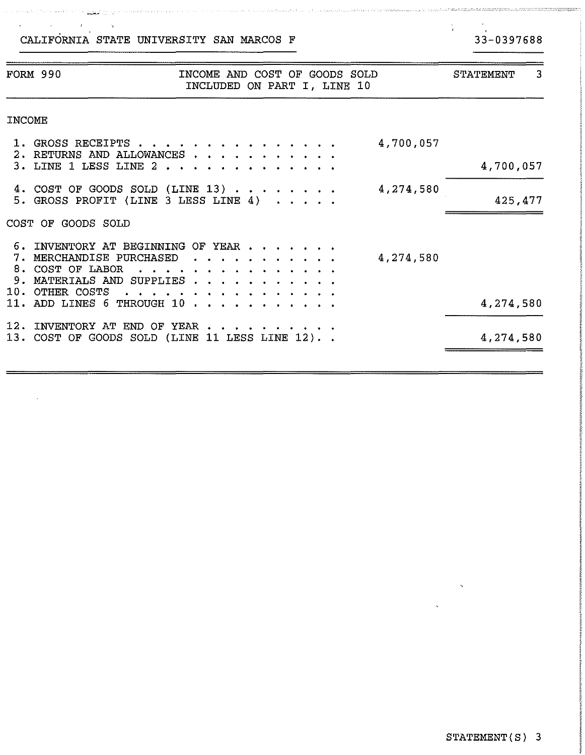a kara katika aliat da ka mwaka mkoa 1995, <u>amfanyi da</u> kama a da katika Alaka a da ta kasa a ma

# $33-0397688$

.<br>Talah Kabupaten Propinsi Jawa Bangungan

 $\frac{2}{4}$  .

|        | FORM 990                                                                                                                                                                     | INCOME AND COST OF GOODS SOLD<br>INCLUDED ON PART I, LINE 10 |  |           | STATEMENT<br>3 |
|--------|------------------------------------------------------------------------------------------------------------------------------------------------------------------------------|--------------------------------------------------------------|--|-----------|----------------|
| INCOME |                                                                                                                                                                              |                                                              |  |           |                |
|        | 1. GROSS RECEIPTS                                                                                                                                                            |                                                              |  | 4,700,057 |                |
|        | 2. RETURNS AND ALLOWANCES<br>3. LINE 1 LESS LINE 2                                                                                                                           |                                                              |  |           | 4,700,057      |
|        | 4. COST OF GOODS SOLD (LINE 13)<br>5. GROSS PROFIT (LINE 3 LESS LINE 4)                                                                                                      |                                                              |  | 4,274,580 | 425,477        |
|        | COST OF GOODS SOLD                                                                                                                                                           |                                                              |  |           |                |
|        | 6. INVENTORY AT BEGINNING OF YEAR<br>7. MERCHANDISE PURCHASED<br>8. COST OF LABOR<br>9. MATERIALS AND SUPPLIES                                                               | <u>.</u>                                                     |  | 4,274,580 |                |
|        | 10. OTHER COSTS<br>11. ADD LINES 6 THROUGH 10 $\, \cdot \,$ $\, \cdot \,$ $\, \cdot \,$ $\, \cdot \,$ $\, \cdot \,$ $\, \cdot \,$ $\, \cdot \,$ $\,$ $\, \cdot \,$ $\,$ $\,$ | .                                                            |  |           | 4,274,580      |
|        | 12. INVENTORY AT END OF YEAR<br>13. COST OF GOODS SOLD (LINE 11 LESS LINE 12). .                                                                                             |                                                              |  |           | 4,274,580      |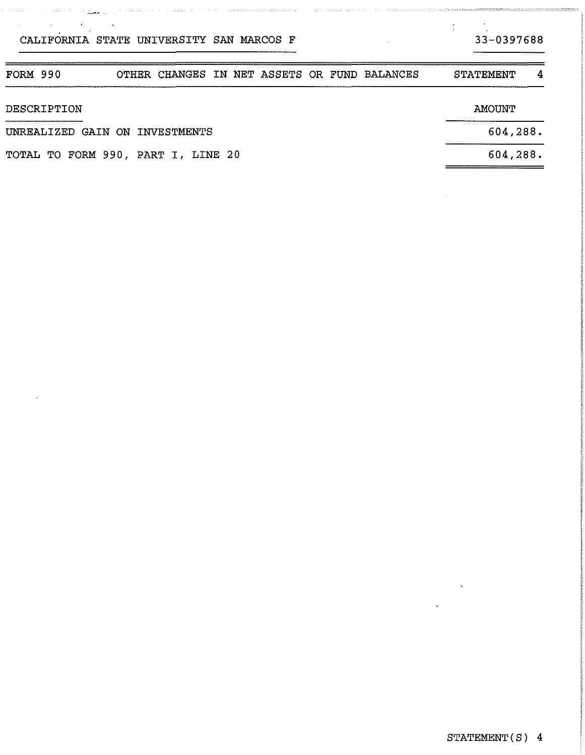# $33 - 0397688$

<u>s en mann ann ann an greasann a</u>

.<br>Album administrativo

 $\frac{1}{2}$  ,  $\frac{1}{2}$ 

| FORM 990<br>OTHER CHANGES IN NET ASSETS OR FUND BALANCES | <b>STATEMENT</b><br>4 |
|----------------------------------------------------------|-----------------------|
| DESCRIPTION                                              | AMOUNT                |
| UNREALIZED GAIN ON INVESTMENTS                           | 604,288.              |
| TOTAL TO FORM 990, PART I, LINE 20                       | 604, 288.             |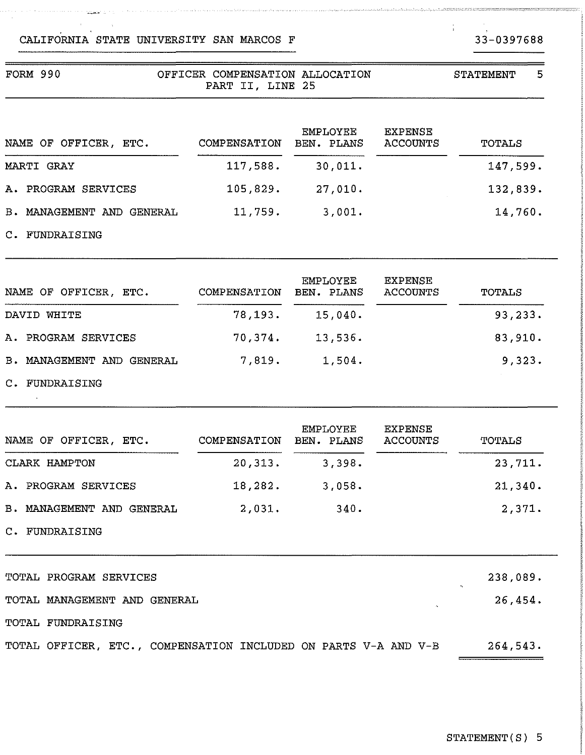#### FORM 990 OFFICER COMPENSATION ALLOCATION PART II, LINE 25 NAME OF OFFICER, ETC. MARTI GRAY A. PROGRAM SERVICES B. MANAGEMENT AND GENERAL 11,759. 3,001. EMPLOYEE COMPENSATION BEN. PLANS ACCOUNTS 117,588. 105,829. 27,010. 30,01l. EXPENSE STATEMENT 5 TOTALS 147,599. 132,839. 14,760.

C. FUNDRAISING

 $\bar{\nu}$ 

| NAME OF OFFICER, ETC.        | COMPENSATION | <b>EMPLOYEE</b><br>BEN. PLANS | EXPENSE<br>ACCOUNTS | TOTALS  |
|------------------------------|--------------|-------------------------------|---------------------|---------|
| DAVID WHITE                  | 78, 193.     | 15.040.                       |                     | 93,233. |
| A. PROGRAM SERVICES          | 70,374.      | 13,536.                       |                     | 83,910. |
| MANAGEMENT AND GENERAL<br>в. | 7,819.       | 1.504.                        |                     | 9,323.  |
| C. FUNDRAISING               |              |                               |                     |         |

| NAME OF OFFICER, ETC.            | <b>EMPLOYEE</b><br>COMPENSATION<br>BEN. PLANS |        | EXPENSE<br>ACCOUNTS | <b>TOTALS</b>       |  |
|----------------------------------|-----------------------------------------------|--------|---------------------|---------------------|--|
| CLARK HAMPTON                    | 20, 313.                                      | 3,398. |                     | 23,711.             |  |
| A. PROGRAM SERVICES              | 18,282.                                       | 3,058. |                     | 21,340.             |  |
| <b>B. MANAGEMENT AND GENERAL</b> | 2,031.                                        | 340.   |                     | 2,371.              |  |
| C. FUNDRAISING                   |                                               |        |                     |                     |  |
| TOTAL PROGRAM SERVICES           |                                               |        |                     | 238,089.<br>$\cdot$ |  |
| TOTAL MANAGEMENT AND GENERAL     |                                               |        |                     | 26,454.             |  |
| <b>TOTAL FUNDRAISING</b>         |                                               |        |                     |                     |  |

TOTAL OFFICER, ETC., COMPENSATION INCLUDED ON PARTS V-A AND V-B 264,543.

33-0397688

 $\frac{1}{4}$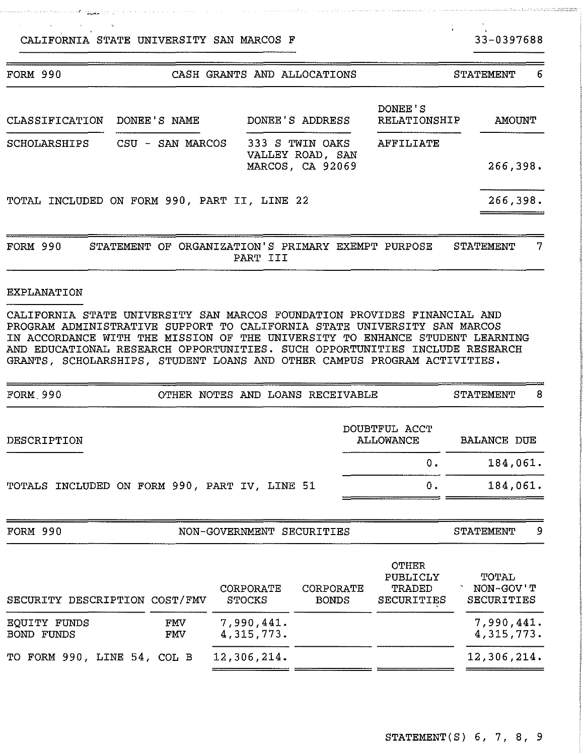a para personal di Arr<u>igi</u>a

and the state of the component of the

 $\mathcal{V}$ 

| <b>FORM 990</b><br>CASH GRANTS AND ALLOCATIONS |                                                                                                          |                                                                                                                                                            |                                                      | 6<br>STATEMENT   |  |
|------------------------------------------------|----------------------------------------------------------------------------------------------------------|------------------------------------------------------------------------------------------------------------------------------------------------------------|------------------------------------------------------|------------------|--|
| <b>CLASSIFICATION</b>                          | DONEE'S NAME                                                                                             | DONEE'S ADDRESS                                                                                                                                            | DONEE'S<br>RELATIONSHIP                              | <b>AMOUNT</b>    |  |
| SCHOLARSHIPS                                   | SAN MARCOS<br>CSU<br>333 S TWIN OAKS<br>$\overline{\phantom{m}}$<br>VALLEY ROAD, SAN<br>MARCOS, CA 92069 |                                                                                                                                                            | AFFILIATE                                            | 266,398.         |  |
|                                                | TOTAL INCLUDED ON FORM 990, PART II, LINE 22                                                             |                                                                                                                                                            |                                                      | 266,398.         |  |
| FORM 990                                       | OF<br><b>STATEMENT</b>                                                                                   | ORGANIZATION'S PRIMARY EXEMPT PURPOSE<br>PART III                                                                                                          |                                                      | 7<br>STATEMENT   |  |
| <b>EXPLANATION</b>                             |                                                                                                          |                                                                                                                                                            |                                                      |                  |  |
| IN ACCORDANCE WITH THE<br>AND.                 | PROGRAM ADMINISTRATIVE SUPPORT TO CALIFORNIA STATE<br>MISSION OF                                         | CALIFORNIA STATE UNIVERSITY SAN MARCOS FOUNDATION PROVIDES FINANCIAL AND<br>UNIVERSITY TO<br>THE<br>EDUCATIONAL RESEARCH OPPORTUNITIES. SUCH OPPORTUNITIES | UNIVERSITY SAN MARCOS<br>ENHANCE<br>INCLUDE RESEARCH | STUDENT LEARNING |  |

| FORM, 990                                     |  | OTHER NOTES AND LOANS RECEIVABLE |                            | <b>STATEMENT</b>   | 8 |
|-----------------------------------------------|--|----------------------------------|----------------------------|--------------------|---|
| DESCRIPTION                                   |  |                                  | DOUBTFUL ACCT<br>ALLOWANCE | <b>BALANCE DUE</b> |   |
|                                               |  |                                  | 0.                         | 184,061.           |   |
| TOTALS INCLUDED ON FORM 990, PART IV, LINE 51 |  |                                  | 0.                         | 184,061.           |   |
| <b>FORM 990</b>                               |  | NON-GOVERNMENT SECURITIES        |                            | STATEMENT          | 9 |
|                                               |  |                                  | <b>OTHER</b><br>PUBLICLY   | TOTAL              |   |

GRANTS, SCHOLARSHIPS, STUDENT LOANS AND OTHER CAMPUS PROGRAM ACTIVITIES.

| SECURITY DESCRIPTION COST/FMV |            | CORPORATE<br>STOCKS      | CORPORATE<br><b>BONDS</b> | TRADED<br><b>SECURITIES</b> | NON-GOV'T<br>SECURITIES  |
|-------------------------------|------------|--------------------------|---------------------------|-----------------------------|--------------------------|
| EQUITY FUNDS<br>BOND FUNDS    | FMV<br>FMV | 7,990,441.<br>4,315,773. |                           |                             | 7,990,441.<br>4,315,773. |
| TO FORM 990, LINE 54, COL B   |            | 12,306,214.              |                           |                             | 12,306,214.              |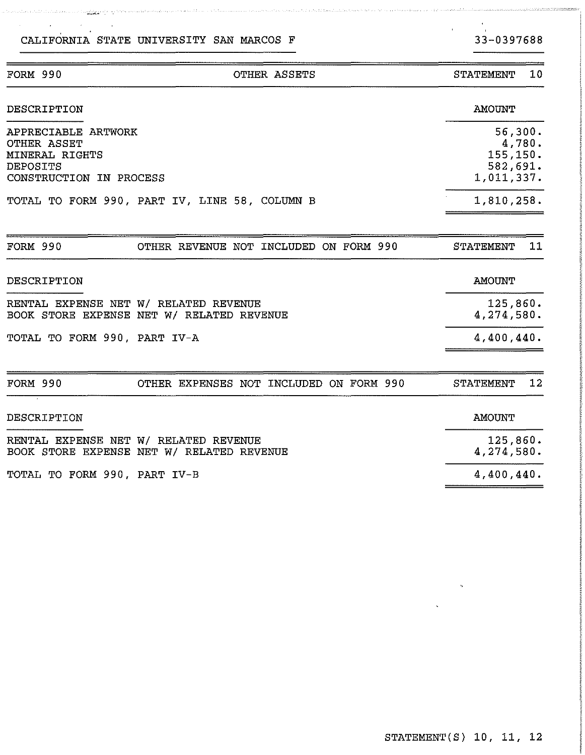a martin associate te<mark>niss</mark>

# STATEMENT(S) 10, 11, 12

| FORM 990                                                                                           | OTHER ASSETS                                                                       | 10<br><b>STATEMENT</b>                                  |
|----------------------------------------------------------------------------------------------------|------------------------------------------------------------------------------------|---------------------------------------------------------|
| DESCRIPTION                                                                                        |                                                                                    | <b>AMOUNT</b>                                           |
| APPRECIABLE ARTWORK<br>OTHER ASSET<br>MINERAL RIGHTS<br><b>DEPOSITS</b><br>CONSTRUCTION IN PROCESS |                                                                                    | 56,300.<br>4,780.<br>155,150.<br>582,691.<br>1,011,337. |
|                                                                                                    | TOTAL TO FORM 990, PART IV, LINE 58, COLUMN B                                      | 1,810,258.                                              |
| <b>FORM 990</b>                                                                                    | OTHER REVENUE NOT INCLUDED ON FORM 990                                             | 11<br>STATEMENT                                         |
| DESCRIPTION                                                                                        |                                                                                    | <b>AMOUNT</b>                                           |
|                                                                                                    | RENTAL EXPENSE NET W/ RELATED REVENUE<br>BOOK STORE EXPENSE NET W/ RELATED REVENUE | 125,860.<br>4,274,580.                                  |
| TOTAL TO FORM 990, PART IV-A                                                                       |                                                                                    | 4,400,440.                                              |
| <b>FORM 990</b>                                                                                    | OTHER EXPENSES NOT INCLUDED ON FORM 990                                            | 12<br><b>STATEMENT</b>                                  |
| DESCRIPTION                                                                                        |                                                                                    | <b>AMOUNT</b>                                           |
|                                                                                                    | RENTAL EXPENSE NET W/ RELATED REVENUE<br>BOOK STORE EXPENSE NET W/ RELATED REVENUE | 125,860.<br>4,274,580.                                  |
| TOTAL TO FORM 990, PART IV-B                                                                       |                                                                                    | 4,400,440.                                              |

33-0397688

 $C$ ITA INEMENTIO  $10$ 

 $\frac{1}{2}$ 

 $\,$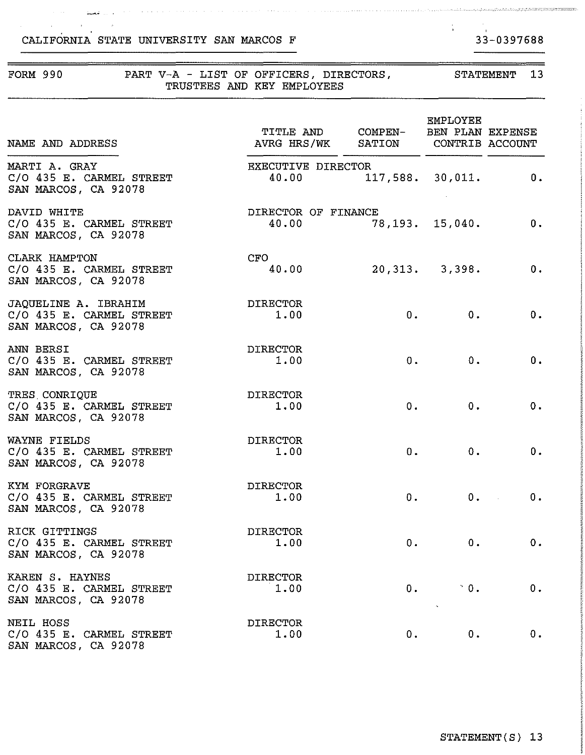$\alpha$  ,  $\alpha$ 

باران فمنك

 $\alpha$  , and  $\alpha$  , and  $\alpha$  , where  $\alpha$  is a  $\alpha$ 

# 33-0397688

 $\frac{1}{2}$  ,  $\frac{1}{2}$ 

 $\sim$   $\sim$  $\sim$ 

a a construção de como o seu o como o como o como o como força terra a tamaficamidade

| FORM 990                                                                 | PART V-A - LIST OF OFFICERS, DIRECTORS,<br>TRUSTEES AND KEY EMPLOYEES    |    | STATEMENT 13            |            |
|--------------------------------------------------------------------------|--------------------------------------------------------------------------|----|-------------------------|------------|
| NAME AND ADDRESS                                                         | TITLE AND COMPEN- BEN PLAN EXPENSE<br>AVRG HRS/WK SATION CONTRIB ACCOUNT |    | EMPLOYEE                |            |
| MARTI A. GRAY<br>C/O 435 E. CARMEL STREET<br>SAN MARCOS, CA 92078        | <b>EXECUTIVE DIRECTOR</b><br>40.00                                       |    | $117,588.$ $30,011.$ 0. |            |
| DAVID WHITE<br>C/O 435 E. CARMEL STREET<br>SAN MARCOS, CA 92078          | DIRECTOR OF FINANCE<br>$40.00$ 78,193. 15,040.                           |    |                         | 0.         |
| CLARK HAMPTON<br>C/O 435 E. CARMEL STREET<br>SAN MARCOS, CA 92078        | CFO<br>40.00                                                             |    | $20,313.$ $3,398.$      | 0.         |
| JAQUELINE A. IBRAHIM<br>C/O 435 E. CARMEL STREET<br>SAN MARCOS, CA 92078 | DIRECTOR<br>1.00                                                         |    | 0.00                    | 0.         |
| ANN BERSI<br>C/O 435 E. CARMEL STREET<br>SAN MARCOS, CA 92078            | DIRECTOR<br>1.00                                                         |    | 0.<br>0.                | 0.         |
| TRES CONRIQUE<br>C/O 435 E. CARMEL STREET<br>SAN MARCOS, CA 92078        | DIRECTOR<br>1.00                                                         |    | 0.<br>0.                | 0.         |
| WAYNE FIELDS<br>C/O 435 E. CARMEL STREET<br>SAN MARCOS, CA 92078         | DIRECTOR<br>1.00                                                         |    | 0.<br>0.                | 0.         |
| KYM FORGRAVE<br>C/O 435 E. CARMEL STREET<br>SAN MARCOS, CA 92078         | <b>DIRECTOR</b><br>1.00                                                  | 0. |                         | 0.11<br>0. |
| RICK GITTINGS<br>C/O 435 E. CARMEL STREET<br>SAN MARCOS, CA 92078        | <b>DIRECTOR</b><br>1.00                                                  | 0. | 0.                      | 0.         |
| KAREN S. HAYNES<br>C/O 435 E. CARMEL STREET<br>SAN MARCOS, CA 92078      | <b>DIRECTOR</b><br>1.00                                                  | 0. | $^{\circ}$ 0.           | 0.         |
| NEIL HOSS<br>C/O 435 E. CARMEL STREET<br>SAN MARCOS, CA 92078            | <b>DIRECTOR</b><br>1.00                                                  | 0. | $0$ .                   | 0.         |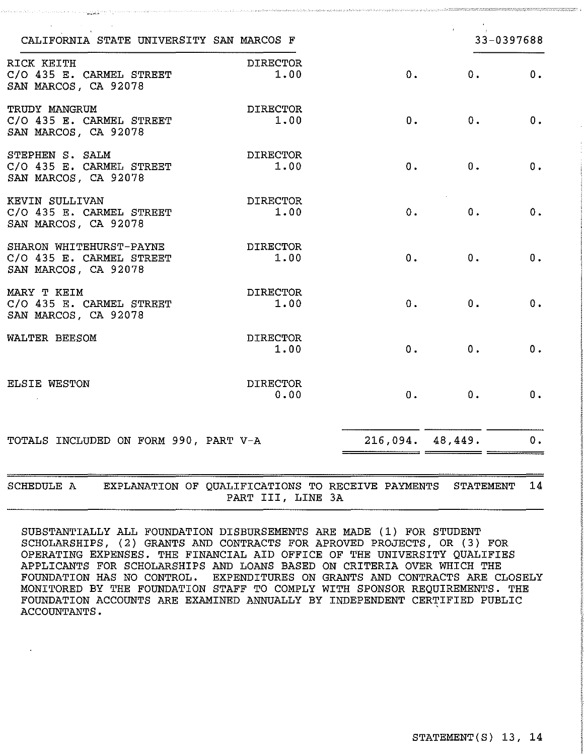| CALIFORNIA STATE UNIVERSITY SAN MARCOS F                                    |                                                                        |                  |                  | 33-0397688 |
|-----------------------------------------------------------------------------|------------------------------------------------------------------------|------------------|------------------|------------|
| RICK KEITH<br>C/O 435 E. CARMEL STREET<br>SAN MARCOS, CA 92078              | <b>DIRECTOR</b><br>1.00                                                | 0.               | 0.               | 0.         |
| TRUDY MANGRUM<br>C/O 435 E. CARMEL STREET<br>SAN MARCOS, CA 92078           | <b>DIRECTOR</b><br>1.00                                                | 0.               | 0.               | 0.         |
| STEPHEN S. SALM<br>C/O 435 E. CARMEL STREET<br>SAN MARCOS, CA 92078         | <b>DIRECTOR</b><br>1.00                                                | 0.               | 0.               | 0.         |
| KEVIN SULLIVAN<br>C/O 435 E. CARMEL STREET<br>SAN MARCOS, CA 92078          | <b>DIRECTOR</b><br>1.00                                                | 0.               | 0.               | 0.         |
| SHARON WHITEHURST-PAYNE<br>C/O 435 E. CARMEL STREET<br>SAN MARCOS, CA 92078 | <b>DIRECTOR</b><br>1.00                                                | 0.               | 0.               | 0.         |
| MARY T KEIM<br>C/O 435 E. CARMEL STREET<br>SAN MARCOS, CA 92078             | <b>DIRECTOR</b><br>1.00                                                | 0.               | 0.               | 0.         |
| WALTER BEESOM                                                               | <b>DIRECTOR</b><br>1.00                                                | $0$ .            | 0.               | 0.         |
| ELSIE WESTON                                                                | <b>DIRECTOR</b><br>0.00                                                | 0.               | 0.               | 0.         |
| TOTALS INCLUDED ON FORM 990, PART V-A                                       |                                                                        | 216,094. 48,449. |                  | 0.         |
| SCHEDULE A                                                                  | EXPLANATION OF QUALIFICATIONS TO RECEIVE PAYMENTS<br>PART III, LINE 3A |                  | <b>STATEMENT</b> | 14         |

SUBSTANTIALLY ALL FOUNDATION DISBURSEMENTS ARE MADE (1) FOR STUDENT SCHOLARSHIPS, (2) GRANTS AND CONTRACTS FOR APROVED PROJECTS, OR (3) FOR OPERATING EXPENSES. THE FINANCIAL AID OFFICE OF THE UNIVERSITY QUALIFIES APPLICANTS FOR SCHOLARSHIPS AND LOANS BASED ON CRITERIA OVER WHICH THE FOUNDATION HAS NO CONTROL. EXPENDITURES ON GRANTS AND CONTRACTS ARE CLOSELY MONITORED BY THE FOUNDATION STAFF TO COMPLY WITH SPONSOR REQUIREMENTS. THE FOUNDATION ACCOUNTS ARE EXAMINED ANNUALLY BY INDEPENDENT CERTIFIED PUBLIC ACCOUNTANTS. ,